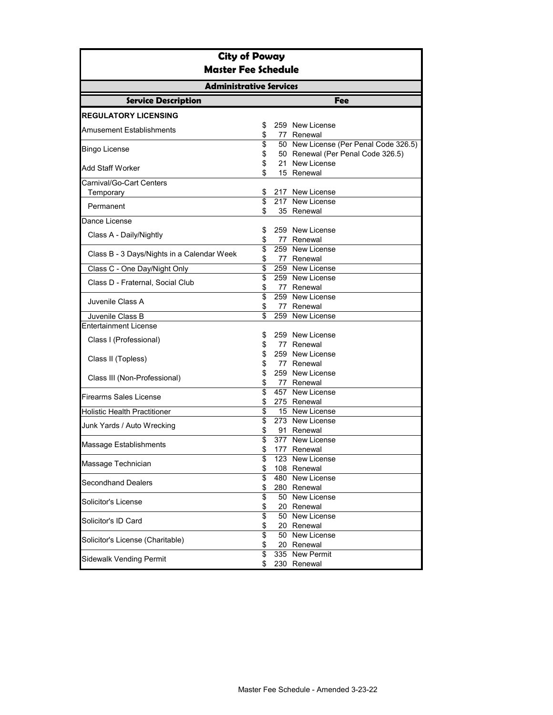| <b>City of Poway</b>                       |                         |     |                                                     |  |  |
|--------------------------------------------|-------------------------|-----|-----------------------------------------------------|--|--|
| <b>Master Fee Schedule</b>                 |                         |     |                                                     |  |  |
| <b>Administrative Services</b>             |                         |     |                                                     |  |  |
| <b>Service Description</b>                 |                         |     | <b>Fee</b>                                          |  |  |
| <b>REGULATORY LICENSING</b>                |                         |     |                                                     |  |  |
| Amusement Establishments                   | \$                      |     | 259 New License                                     |  |  |
|                                            | \$<br>\$                |     | 77 Renewal<br>50 New License (Per Penal Code 326.5) |  |  |
| <b>Bingo License</b>                       | \$                      |     | 50 Renewal (Per Penal Code 326.5)                   |  |  |
| <b>Add Staff Worker</b>                    | \$                      |     | 21 New License                                      |  |  |
| Carnival/Go-Cart Centers                   | \$                      |     | 15 Renewal                                          |  |  |
| Temporary                                  | \$                      |     | 217 New License                                     |  |  |
|                                            | $\overline{\mathbf{3}}$ | 217 | New License                                         |  |  |
| Permanent                                  | \$                      |     | 35 Renewal                                          |  |  |
| Dance License                              |                         |     |                                                     |  |  |
| Class A - Daily/Nightly                    | \$                      |     | 259 New License                                     |  |  |
|                                            | \$                      |     | 77 Renewal                                          |  |  |
| Class B - 3 Days/Nights in a Calendar Week | \$                      |     | 259 New License                                     |  |  |
|                                            | \$                      |     | 77 Renewal                                          |  |  |
| Class C - One Day/Night Only               | \$                      |     | 259 New License                                     |  |  |
| Class D - Fraternal, Social Club           | \$                      |     | 259 New License                                     |  |  |
|                                            | \$                      |     | 77 Renewal                                          |  |  |
| Juvenile Class A                           | \$                      |     | 259 New License                                     |  |  |
|                                            | \$                      |     | 77 Renewal                                          |  |  |
| Juvenile Class B                           | \$                      |     | 259 New License                                     |  |  |
| <b>Entertainment License</b>               |                         |     |                                                     |  |  |
| Class I (Professional)                     | \$                      |     | 259 New License<br>77 Renewal                       |  |  |
|                                            | \$                      |     | 259 New License                                     |  |  |
| Class II (Topless)                         | \$<br>\$                |     | 77 Renewal                                          |  |  |
|                                            | \$                      |     | 259 New License                                     |  |  |
| Class III (Non-Professional)               | \$                      | 77  | Renewal                                             |  |  |
|                                            | \$                      |     | 457 New License                                     |  |  |
| <b>Firearms Sales License</b>              |                         | 275 | Renewal                                             |  |  |
| <b>Holistic Health Practitioner</b>        | \$                      |     | 15 New License                                      |  |  |
|                                            | \$                      |     | 273 New License                                     |  |  |
| Junk Yards / Auto Wrecking                 | \$                      |     | 91 Renewal                                          |  |  |
|                                            | \$                      |     | 377 New License                                     |  |  |
| Massage Establishments                     | \$                      |     | 177 Renewal                                         |  |  |
| Massage Technician                         | \$                      |     | 123 New License                                     |  |  |
|                                            | \$                      |     | 108 Renewal                                         |  |  |
| <b>Secondhand Dealers</b>                  | \$                      |     | 480 New License                                     |  |  |
|                                            | \$                      |     | 280 Renewal                                         |  |  |
| Solicitor's License                        | \$                      |     | 50 New License                                      |  |  |
|                                            | \$                      |     | 20 Renewal                                          |  |  |
| Solicitor's ID Card                        | \$                      |     | 50 New License                                      |  |  |
|                                            | \$                      |     | 20 Renewal                                          |  |  |
| Solicitor's License (Charitable)           | \$                      |     | 50 New License                                      |  |  |
|                                            | \$                      |     | 20 Renewal                                          |  |  |
| <b>Sidewalk Vending Permit</b>             | \$                      |     | 335 New Permit                                      |  |  |
|                                            | \$                      |     | 230 Renewal                                         |  |  |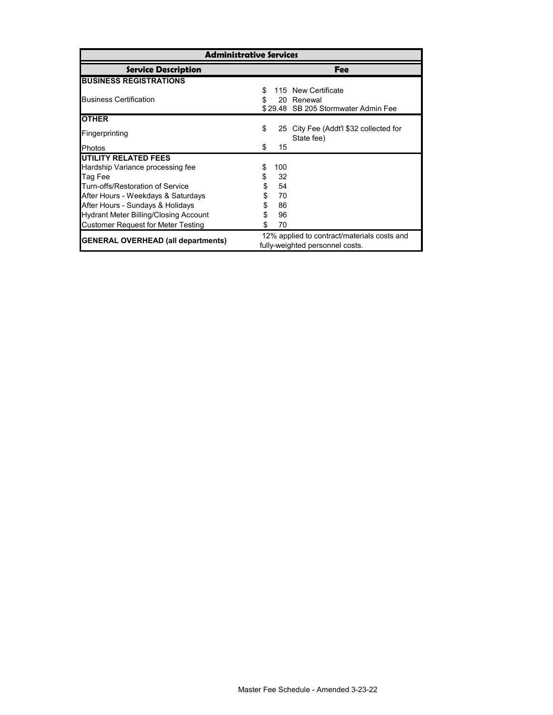| <b>Administrative Services</b>               |                                                                                    |  |  |
|----------------------------------------------|------------------------------------------------------------------------------------|--|--|
| <b>Service Description</b>                   | Fee                                                                                |  |  |
| <b>BUSINESS REGISTRATIONS</b>                |                                                                                    |  |  |
| <b>Business Certification</b>                | <b>New Certificate</b><br>115<br>20 Renewal<br>\$29.48 SB 205 Stormwater Admin Fee |  |  |
| <b>OTHER</b>                                 |                                                                                    |  |  |
| Fingerprinting                               | \$<br>City Fee (Addt'l \$32 collected for<br>25<br>State fee)                      |  |  |
| <b>Photos</b>                                | 15<br>\$                                                                           |  |  |
| UTILITY RELATED FEES                         |                                                                                    |  |  |
| Hardship Variance processing fee             | 100                                                                                |  |  |
| Tag Fee                                      | 32<br>\$                                                                           |  |  |
| Turn-offs/Restoration of Service             | 54<br>S                                                                            |  |  |
| After Hours - Weekdays & Saturdays           | 70<br>\$                                                                           |  |  |
| After Hours - Sundays & Holidays             | 86                                                                                 |  |  |
| <b>Hydrant Meter Billing/Closing Account</b> | 96<br>\$                                                                           |  |  |
| <b>Customer Request for Meter Testing</b>    | 70<br>S                                                                            |  |  |
| <b>GENERAL OVERHEAD (all departments)</b>    | 12% applied to contract/materials costs and<br>fully-weighted personnel costs.     |  |  |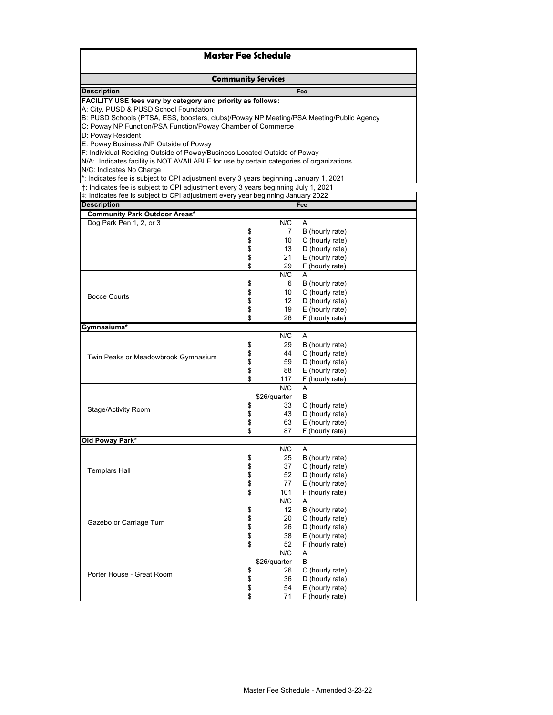| <b>Master Fee Schedule</b>                                                                                                                                                                                                                                      |                           |                 |                                   |  |  |
|-----------------------------------------------------------------------------------------------------------------------------------------------------------------------------------------------------------------------------------------------------------------|---------------------------|-----------------|-----------------------------------|--|--|
|                                                                                                                                                                                                                                                                 | <b>Community Services</b> |                 |                                   |  |  |
| <b>Description</b>                                                                                                                                                                                                                                              | Fee                       |                 |                                   |  |  |
| FACILITY USE fees vary by category and priority as follows:<br>A: City, PUSD & PUSD School Foundation<br>B: PUSD Schools (PTSA, ESS, boosters, clubs)/Poway NP Meeting/PSA Meeting/Public Agency<br>C: Poway NP Function/PSA Function/Poway Chamber of Commerce |                           |                 |                                   |  |  |
| D: Poway Resident<br>E: Poway Business /NP Outside of Poway<br>F: Individual Residing Outside of Poway/Business Located Outside of Poway                                                                                                                        |                           |                 |                                   |  |  |
| N/A: Indicates facility is NOT AVAILABLE for use by certain categories of organizations<br>N/C: Indicates No Charge                                                                                                                                             |                           |                 |                                   |  |  |
| *: Indicates fee is subject to CPI adjustment every 3 years beginning January 1, 2021<br>†: Indicates fee is subject to CPI adjustment every 3 years beginning July 1, 2021<br>‡: Indicates fee is subject to CPI adjustment every year beginning January 2022  |                           |                 |                                   |  |  |
| <b>Description</b>                                                                                                                                                                                                                                              |                           |                 | Fee                               |  |  |
| <b>Community Park Outdoor Areas*</b>                                                                                                                                                                                                                            |                           |                 |                                   |  |  |
| Dog Park Pen 1, 2, or 3                                                                                                                                                                                                                                         |                           | N/C             | A                                 |  |  |
|                                                                                                                                                                                                                                                                 | \$                        | $\overline{7}$  | B (hourly rate)                   |  |  |
|                                                                                                                                                                                                                                                                 | \$                        | 10 <sup>°</sup> | C (hourly rate)                   |  |  |
|                                                                                                                                                                                                                                                                 | \$                        | 13              | D (hourly rate)                   |  |  |
|                                                                                                                                                                                                                                                                 | \$<br>\$                  | 21              | E (hourly rate)                   |  |  |
|                                                                                                                                                                                                                                                                 |                           | 29<br>N/C       | F (hourly rate)<br>$\overline{A}$ |  |  |
|                                                                                                                                                                                                                                                                 | \$                        | 6               | B (hourly rate)                   |  |  |
|                                                                                                                                                                                                                                                                 | \$                        | 10              | C (hourly rate)                   |  |  |
| <b>Bocce Courts</b>                                                                                                                                                                                                                                             | \$                        | 12              | D (hourly rate)                   |  |  |
|                                                                                                                                                                                                                                                                 | \$                        | 19              | E (hourly rate)                   |  |  |
|                                                                                                                                                                                                                                                                 | \$                        | 26              | F (hourly rate)                   |  |  |
| Gymnasiums*                                                                                                                                                                                                                                                     |                           |                 |                                   |  |  |
|                                                                                                                                                                                                                                                                 |                           | N/C             | A                                 |  |  |
|                                                                                                                                                                                                                                                                 | \$                        | 29              | B (hourly rate)                   |  |  |
|                                                                                                                                                                                                                                                                 | \$                        | 44              | C (hourly rate)                   |  |  |
| Twin Peaks or Meadowbrook Gymnasium                                                                                                                                                                                                                             | \$                        | 59              | D (hourly rate)                   |  |  |
|                                                                                                                                                                                                                                                                 | \$                        | 88              | E (hourly rate)                   |  |  |
|                                                                                                                                                                                                                                                                 | \$                        | 117             | F (hourly rate)                   |  |  |
|                                                                                                                                                                                                                                                                 |                           | N/C             | A                                 |  |  |
|                                                                                                                                                                                                                                                                 |                           | \$26/quarter    | B                                 |  |  |
| <b>Stage/Activity Room</b>                                                                                                                                                                                                                                      | \$                        | 33              | C (hourly rate)                   |  |  |
|                                                                                                                                                                                                                                                                 | \$                        | 43              | D (hourly rate)                   |  |  |
|                                                                                                                                                                                                                                                                 | \$                        | 63              | E (hourly rate)                   |  |  |
|                                                                                                                                                                                                                                                                 | \$                        | 87              | F (hourly rate)                   |  |  |
| Old Poway Park*                                                                                                                                                                                                                                                 |                           | N/C             | A                                 |  |  |
|                                                                                                                                                                                                                                                                 | \$                        | 25              | B (hourly rate)                   |  |  |
|                                                                                                                                                                                                                                                                 | \$                        | 37              | C (hourly rate)                   |  |  |
| <b>Templars Hall</b>                                                                                                                                                                                                                                            | \$                        | 52              | D (hourly rate)                   |  |  |
|                                                                                                                                                                                                                                                                 | \$                        | 77              | E (hourly rate)                   |  |  |
|                                                                                                                                                                                                                                                                 | \$                        | 101             | F (hourly rate)                   |  |  |
|                                                                                                                                                                                                                                                                 |                           | N/C             | A                                 |  |  |
|                                                                                                                                                                                                                                                                 | \$                        | 12              | B (hourly rate)                   |  |  |
|                                                                                                                                                                                                                                                                 | \$                        | 20              | C (hourly rate)                   |  |  |
| Gazebo or Carriage Turn                                                                                                                                                                                                                                         | \$                        | 26              | D (hourly rate)                   |  |  |
|                                                                                                                                                                                                                                                                 | \$                        | 38              | E (hourly rate)                   |  |  |
|                                                                                                                                                                                                                                                                 | \$                        | 52              | F (hourly rate)                   |  |  |
|                                                                                                                                                                                                                                                                 |                           | N/C             | A                                 |  |  |
|                                                                                                                                                                                                                                                                 |                           | \$26/quarter    | B                                 |  |  |
| Porter House - Great Room                                                                                                                                                                                                                                       | \$                        | 26              | C (hourly rate)                   |  |  |
|                                                                                                                                                                                                                                                                 | \$                        | 36              | D (hourly rate)                   |  |  |
|                                                                                                                                                                                                                                                                 | \$                        | 54              | E (hourly rate)                   |  |  |
|                                                                                                                                                                                                                                                                 | \$                        | 71              | F (hourly rate)                   |  |  |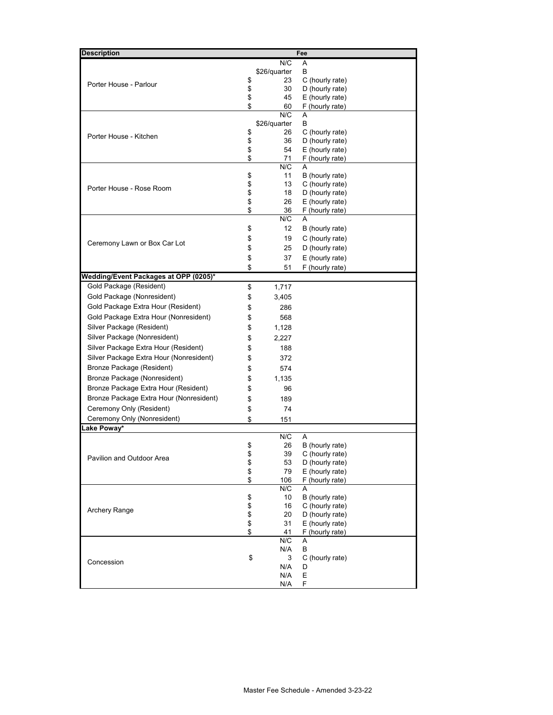| <b>Description</b>                                               |          |              | Fee                                |
|------------------------------------------------------------------|----------|--------------|------------------------------------|
|                                                                  |          | N/C          | A                                  |
|                                                                  |          | \$26/quarter | B                                  |
| Porter House - Parlour                                           | \$       | 23           | C (hourly rate)                    |
|                                                                  | \$       | 30           | D (hourly rate)                    |
|                                                                  | \$<br>\$ | 45<br>60     | E (hourly rate)<br>F (hourly rate) |
|                                                                  |          | N/C          | A                                  |
|                                                                  |          | \$26/quarter | B                                  |
| Porter House - Kitchen                                           | \$       | 26           | C (hourly rate)                    |
|                                                                  | \$       | 36           | D (hourly rate)                    |
|                                                                  | \$       | 54           | E (hourly rate)                    |
|                                                                  | \$       | 71<br>N/C    | F (hourly rate)<br>А               |
|                                                                  | \$       | 11           | B (hourly rate)                    |
|                                                                  | \$       | 13           | C (hourly rate)                    |
| Porter House - Rose Room                                         | \$<br>\$ | 18           | D (hourly rate)                    |
|                                                                  |          | 26           | E (hourly rate)                    |
|                                                                  | \$       | 36           | F (hourly rate)                    |
|                                                                  |          | N/C          | A                                  |
|                                                                  | \$       | 12           | B (hourly rate)                    |
| Ceremony Lawn or Box Car Lot                                     | \$       | 19           | C (hourly rate)                    |
|                                                                  | \$       | 25           | D (hourly rate)                    |
|                                                                  | \$       | 37           | E (hourly rate)                    |
|                                                                  | \$       | 51           | F (hourly rate)                    |
| Wedding/Event Packages at OPP (0205)*<br>Gold Package (Resident) |          |              |                                    |
| Gold Package (Nonresident)                                       | \$       | 1,717        |                                    |
| Gold Package Extra Hour (Resident)                               | \$       | 3,405        |                                    |
| Gold Package Extra Hour (Nonresident)                            | \$       | 286          |                                    |
| Silver Package (Resident)                                        | \$       | 568          |                                    |
| Silver Package (Nonresident)                                     | \$       | 1,128        |                                    |
|                                                                  | \$       | 2,227        |                                    |
| Silver Package Extra Hour (Resident)                             | \$       | 188          |                                    |
| Silver Package Extra Hour (Nonresident)                          | \$       | 372          |                                    |
| <b>Bronze Package (Resident)</b>                                 | \$       | 574          |                                    |
| Bronze Package (Nonresident)                                     | \$       | 1,135        |                                    |
| Bronze Package Extra Hour (Resident)                             | \$       | 96           |                                    |
| Bronze Package Extra Hour (Nonresident)                          | \$       | 189          |                                    |
| Ceremony Only (Resident)                                         | \$       | 74           |                                    |
| Ceremony Only (Nonresident)<br>ake Poway*                        | \$       | 151          |                                    |
|                                                                  |          | N/C          | A                                  |
|                                                                  | \$       | 26           | B (hourly rate)                    |
| Pavilion and Outdoor Area                                        | \$       | 39           | C (hourly rate)                    |
|                                                                  | \$       | 53           | D (hourly rate)                    |
|                                                                  |          | 79           | E (hourly rate)                    |
|                                                                  | \$       | 106<br>N/C   | F (hourly rate)<br>A               |
|                                                                  | \$       | 10           | B (hourly rate)                    |
|                                                                  |          | 16           | C (hourly rate)                    |
| Archery Range                                                    | \$\$     | 20           | D (hourly rate)                    |
|                                                                  |          | 31           | E (hourly rate)                    |
|                                                                  | \$       | 41           | F (hourly rate)                    |
|                                                                  |          | N/C<br>N/A   | A<br>B                             |
|                                                                  | \$       | 3            | C (hourly rate)                    |
| Concession                                                       |          | N/A          | D                                  |
|                                                                  |          | N/A          | E                                  |
|                                                                  |          | N/A          | F                                  |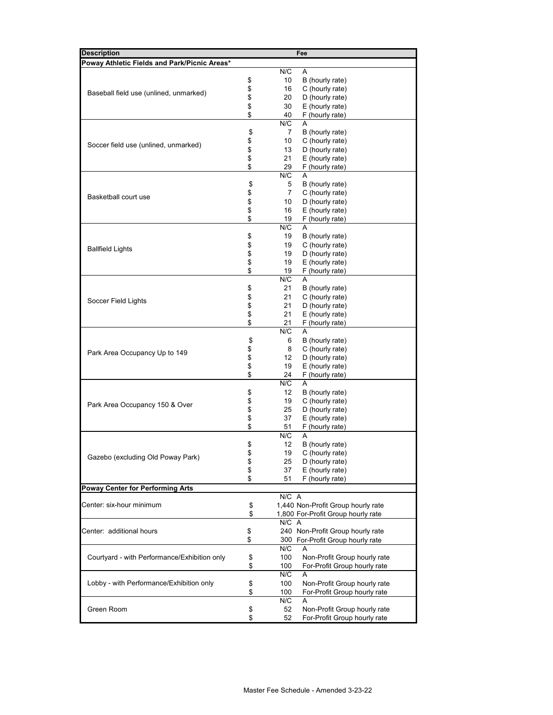| <b>Description</b>                           |          |           | Fee                                |
|----------------------------------------------|----------|-----------|------------------------------------|
| Poway Athletic Fields and Park/Picnic Areas* |          |           |                                    |
|                                              |          | N/C       | A                                  |
| Baseball field use (unlined, unmarked)       | \$       | 10        | B (hourly rate)                    |
|                                              | \$       | 16        | C (hourly rate)                    |
|                                              | \$       | 20        | D (hourly rate)                    |
|                                              | \$       | 30        | E (hourly rate)                    |
|                                              | \$       | 40        | F (hourly rate)                    |
|                                              |          | N/C       | $\overline{A}$                     |
|                                              | \$       | 7         | B (hourly rate)                    |
| Soccer field use (unlined, unmarked)         | \$       | 10        | C (hourly rate)                    |
|                                              | \$<br>\$ | 13<br>21  | D (hourly rate)<br>E (hourly rate) |
|                                              | \$       | 29        | F (hourly rate)                    |
|                                              |          | N/C       | A                                  |
|                                              | \$       | 5         | B (hourly rate)                    |
|                                              | \$       | 7         | C (hourly rate)                    |
| <b>Basketball court use</b>                  | \$       | 10        | D (hourly rate)                    |
|                                              | \$       | 16        | E (hourly rate)                    |
|                                              | \$       | 19        | F (hourly rate)                    |
|                                              |          | N/C       | A                                  |
|                                              | \$       | 19        | B (hourly rate)                    |
| <b>Ballfield Lights</b>                      | \$       | 19        | C (hourly rate)                    |
|                                              | \$       | 19        | D (hourly rate)                    |
|                                              | \$       | 19        | E (hourly rate)                    |
|                                              | \$       | 19        | F (hourly rate)                    |
|                                              |          | N/C       | A                                  |
|                                              | \$       | 21        | B (hourly rate)                    |
| Soccer Field Lights                          | \$       | 21        | C (hourly rate)                    |
|                                              | \$       | 21        | D (hourly rate)                    |
|                                              | \$       | 21        | E (hourly rate)                    |
|                                              | \$       | 21        | F (hourly rate)<br>A               |
|                                              |          | N/C<br>6  | B (hourly rate)                    |
|                                              | \$<br>\$ | 8         | C (hourly rate)                    |
| Park Area Occupancy Up to 149                | \$       | 12        | D (hourly rate)                    |
|                                              | \$       | 19        | E (hourly rate)                    |
|                                              | \$       | 24        | F (hourly rate)                    |
|                                              |          | N/C       | A                                  |
|                                              | \$       | 12        | B (hourly rate)                    |
|                                              | \$       | 19        | C (hourly rate)                    |
| Park Area Occupancy 150 & Over               | \$       | 25        | D (hourly rate)                    |
|                                              | \$       | 37        | E (hourly rate)                    |
|                                              | \$       | 51        | F (hourly rate)                    |
|                                              |          | N/C       | $\overline{A}$                     |
|                                              | \$       | 12        | B (hourly rate)                    |
| Gazebo (excluding Old Poway Park)            | \$       | 19        | C (hourly rate)                    |
|                                              | \$       | 25        | D (hourly rate)                    |
|                                              | \$       | 37        | E (hourly rate)                    |
|                                              | \$       | 51        | F (hourly rate)                    |
| <b>Poway Center for Performing Arts</b>      |          |           |                                    |
|                                              |          | N/C A     |                                    |
| Center: six-hour minimum                     | \$       |           | 1,440 Non-Profit Group hourly rate |
|                                              | \$       | $N/C$ $A$ | 1,800 For-Profit Group hourly rate |
| Center: additional hours                     |          |           | 240 Non-Profit Group hourly rate   |
|                                              | \$<br>\$ | 300       | For-Profit Group hourly rate       |
|                                              |          | N/C       | A                                  |
| Courtyard - with Performance/Exhibition only | \$       | 100       | Non-Profit Group hourly rate       |
|                                              | \$       | 100       | For-Profit Group hourly rate       |
|                                              |          | N/C       | A                                  |
| Lobby - with Performance/Exhibition only     | \$       | 100       | Non-Profit Group hourly rate       |
|                                              | \$       | 100       | For-Profit Group hourly rate       |
|                                              |          | N/C       | A                                  |
| Green Room                                   | \$       | 52        | Non-Profit Group hourly rate       |
|                                              | \$       | 52        | For-Profit Group hourly rate       |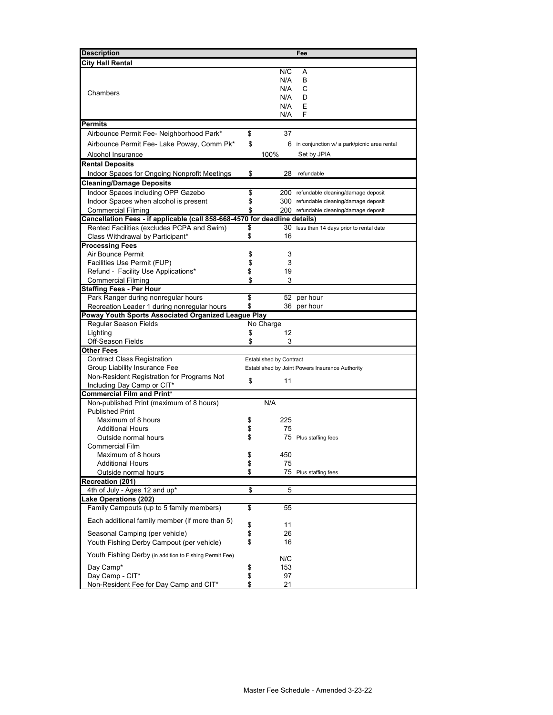| <b>Description</b>                                                         |          |                                | Fee                                             |
|----------------------------------------------------------------------------|----------|--------------------------------|-------------------------------------------------|
| <b>City Hall Rental</b>                                                    |          |                                |                                                 |
|                                                                            |          | N/C                            | A                                               |
|                                                                            |          | N/A                            | B                                               |
|                                                                            |          | N/A                            | C                                               |
| Chambers                                                                   |          | N/A                            | D                                               |
|                                                                            |          | N/A                            | Е                                               |
|                                                                            |          | N/A                            | F                                               |
| <b>Permits</b>                                                             |          |                                |                                                 |
| Airbounce Permit Fee- Neighborhood Park*                                   | \$       | 37                             |                                                 |
| Airbounce Permit Fee- Lake Poway, Comm Pk*                                 | \$       | 6                              | in conjunction w/ a park/picnic area rental     |
| Alcohol Insurance                                                          |          | 100%                           | Set by JPIA                                     |
| <b>Rental Deposits</b>                                                     |          |                                |                                                 |
| Indoor Spaces for Ongoing Nonprofit Meetings                               | \$       | 28                             | refundable                                      |
| <b>Cleaning/Damage Deposits</b>                                            |          |                                |                                                 |
| Indoor Spaces including OPP Gazebo                                         | \$       |                                | 200 refundable cleaning/damage deposit          |
| Indoor Spaces when alcohol is present                                      | \$       |                                | 300 refundable cleaning/damage deposit          |
| <b>Commercial Filming</b>                                                  | \$       |                                | 200 refundable cleaning/damage deposit          |
| Cancellation Fees - if applicable (call 858-668-4570 for deadline details) |          |                                |                                                 |
| Rented Facilities (excludes PCPA and Swim)                                 | \$       |                                | 30 less than 14 days prior to rental date       |
| Class Withdrawal by Participant*                                           | \$       | 16                             |                                                 |
| <b>Processing Fees</b>                                                     |          |                                |                                                 |
| Air Bounce Permit                                                          | \$       | 3                              |                                                 |
| Facilities Use Permit (FUP)                                                | \$       | 3                              |                                                 |
| Refund - Facility Use Applications*                                        | \$       | 19                             |                                                 |
| <b>Commercial Filming</b>                                                  | \$       | 3                              |                                                 |
| <b>Staffing Fees - Per Hour</b><br>Park Ranger during nonregular hours     | \$       |                                | 52 per hour                                     |
| Recreation Leader 1 during nonregular hours                                | \$       |                                | 36 per hour                                     |
| Poway Youth Sports Associated Organized League Play                        |          |                                |                                                 |
| <b>Regular Season Fields</b>                                               |          | No Charge                      |                                                 |
| Lighting                                                                   | \$       | 12                             |                                                 |
| Off-Season Fields                                                          |          | 3                              |                                                 |
| <b>Other Fees</b>                                                          |          |                                |                                                 |
| <b>Contract Class Registration</b>                                         |          | <b>Established by Contract</b> |                                                 |
| Group Liability Insurance Fee                                              |          |                                | Established by Joint Powers Insurance Authority |
| Non-Resident Registration for Programs Not                                 | \$       | 11                             |                                                 |
| Including Day Camp or CIT*                                                 |          |                                |                                                 |
| <b>Commercial Film and Print*</b>                                          |          |                                |                                                 |
| Non-published Print (maximum of 8 hours)                                   |          | N/A                            |                                                 |
| <b>Published Print</b>                                                     |          |                                |                                                 |
| Maximum of 8 hours                                                         | \$       | 225                            |                                                 |
| <b>Additional Hours</b><br>Outside normal hours                            | \$<br>\$ | 75                             | 75 Plus staffing fees                           |
| <b>Commercial Film</b>                                                     |          |                                |                                                 |
| Maximum of 8 hours                                                         | \$       | 450                            |                                                 |
| <b>Additional Hours</b>                                                    | \$       | 75                             |                                                 |
| Outside normal hours                                                       | \$       |                                | 75 Plus staffing fees                           |
| Recreation (201)                                                           |          |                                |                                                 |
| 4th of July - Ages 12 and up*                                              | \$       | 5                              |                                                 |
| <b>Lake Operations (202)</b>                                               |          |                                |                                                 |
| Family Campouts (up to 5 family members)                                   | \$       | 55                             |                                                 |
| Each additional family member (if more than 5)                             | \$       | 11                             |                                                 |
| Seasonal Camping (per vehicle)                                             | \$       | 26                             |                                                 |
| Youth Fishing Derby Campout (per vehicle)                                  | \$       | 16                             |                                                 |
|                                                                            |          |                                |                                                 |
| Youth Fishing Derby (in addition to Fishing Permit Fee)                    |          | N/C                            |                                                 |
| Day Camp*                                                                  | \$       | 153                            |                                                 |
| Day Camp - CIT*                                                            | \$       | 97                             |                                                 |
| Non-Resident Fee for Day Camp and CIT*                                     | \$       | 21                             |                                                 |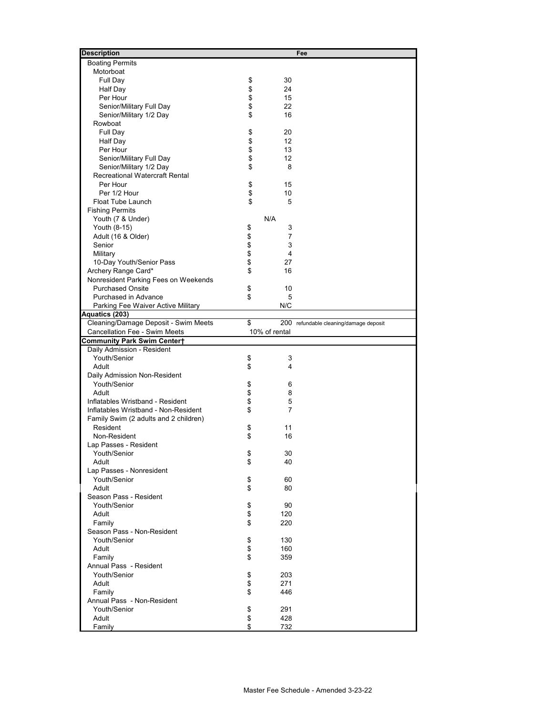| <b>Description</b>                                              |          |                                | Fee                                    |
|-----------------------------------------------------------------|----------|--------------------------------|----------------------------------------|
| <b>Boating Permits</b>                                          |          |                                |                                        |
| Motorboat                                                       |          |                                |                                        |
| Full Day                                                        | \$       | 30                             |                                        |
| <b>Half Day</b>                                                 | \$<br>\$ | 24                             |                                        |
| Per Hour                                                        |          | 15                             |                                        |
| Senior/Military Full Day                                        | \$       | 22                             |                                        |
| Senior/Military 1/2 Day                                         | \$       | 16                             |                                        |
| Rowboat                                                         |          |                                |                                        |
| <b>Full Day</b>                                                 | \$       | 20                             |                                        |
| <b>Half Day</b>                                                 | \$       | 12                             |                                        |
| Per Hour                                                        | \$<br>\$ | 13                             |                                        |
| Senior/Military Full Day                                        |          | 12                             |                                        |
| Senior/Military 1/2 Day                                         | \$       | 8                              |                                        |
| <b>Recreational Watercraft Rental</b>                           |          |                                |                                        |
| Per Hour                                                        | \$       | 15                             |                                        |
| Per 1/2 Hour                                                    | \$       | 10                             |                                        |
| Float Tube Launch                                               | \$       | 5                              |                                        |
| <b>Fishing Permits</b>                                          |          |                                |                                        |
| Youth (7 & Under)                                               |          | N/A                            |                                        |
| Youth (8-15)                                                    | \$       | 3                              |                                        |
| Adult (16 & Older)<br>Senior                                    | \$       | 7<br>$\ensuremath{\mathsf{3}}$ |                                        |
|                                                                 | \$       |                                |                                        |
| Military                                                        | \$<br>\$ | 4<br>27                        |                                        |
| 10-Day Youth/Senior Pass                                        | \$       | 16                             |                                        |
| Archery Range Card*                                             |          |                                |                                        |
| Nonresident Parking Fees on Weekends<br><b>Purchased Onsite</b> |          | 10                             |                                        |
| Purchased in Advance                                            | \$<br>\$ | 5                              |                                        |
| Parking Fee Waiver Active Military                              |          | N/C                            |                                        |
| Aquatics (203)                                                  |          |                                |                                        |
| Cleaning/Damage Deposit - Swim Meets                            | \$       |                                | 200 refundable cleaning/damage deposit |
| <b>Cancellation Fee - Swim Meets</b>                            |          | 10% of rental                  |                                        |
|                                                                 |          |                                |                                        |
|                                                                 |          |                                |                                        |
| <b>Community Park Swim Center†</b>                              |          |                                |                                        |
| Daily Admission - Resident                                      |          |                                |                                        |
| Youth/Senior<br>Adult                                           | \$       | 3<br>4                         |                                        |
|                                                                 | \$       |                                |                                        |
| Daily Admission Non-Resident<br>Youth/Senior                    |          | 6                              |                                        |
| Adult                                                           | \$       | 8                              |                                        |
| Inflatables Wristband - Resident                                | \$       | 5                              |                                        |
| Inflatables Wristband - Non-Resident                            | \$<br>\$ | $\overline{7}$                 |                                        |
| Family Swim (2 adults and 2 children)                           |          |                                |                                        |
| Resident                                                        | \$       | 11                             |                                        |
| Non-Resident                                                    | \$       | 16                             |                                        |
| Lap Passes - Resident                                           |          |                                |                                        |
| Youth/Senior                                                    | \$       | 30                             |                                        |
| Adult                                                           | \$       | 40                             |                                        |
| Lap Passes - Nonresident                                        |          |                                |                                        |
| Youth/Senior                                                    | \$       | 60                             |                                        |
| Adult                                                           | \$       | 80                             |                                        |
| Season Pass - Resident                                          |          |                                |                                        |
| Youth/Senior                                                    | \$       | 90                             |                                        |
| Adult                                                           | \$       | 120                            |                                        |
| Family                                                          | \$       | 220                            |                                        |
| Season Pass - Non-Resident                                      |          |                                |                                        |
| Youth/Senior                                                    | \$       | 130                            |                                        |
| Adult                                                           | \$       | 160                            |                                        |
| Family                                                          | \$       | 359                            |                                        |
| Annual Pass - Resident                                          |          |                                |                                        |
| Youth/Senior                                                    | \$       | 203                            |                                        |
| Adult                                                           | \$       | 271                            |                                        |
| Family                                                          | \$       | 446                            |                                        |
| Annual Pass - Non-Resident                                      |          |                                |                                        |
| Youth/Senior                                                    | \$       | 291                            |                                        |
| Adult<br>Family                                                 | \$<br>\$ | 428<br>732                     |                                        |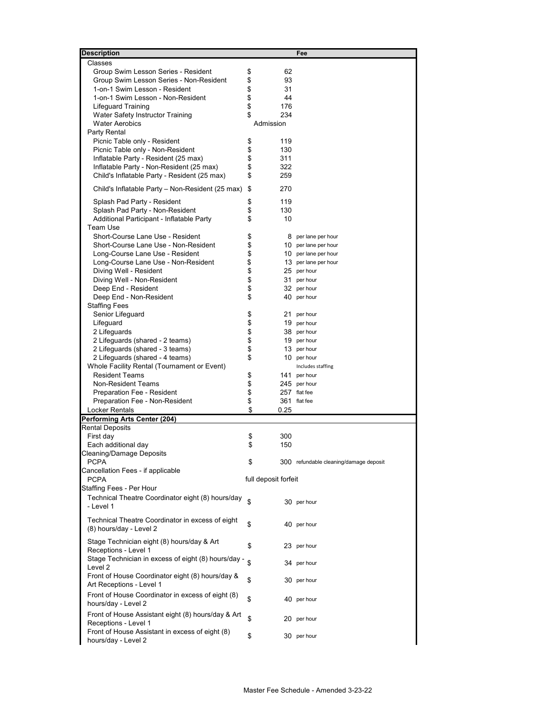| <b>Description</b>                                  |          |                      | Fee                                    |
|-----------------------------------------------------|----------|----------------------|----------------------------------------|
| Classes                                             |          |                      |                                        |
| Group Swim Lesson Series - Resident                 | \$       | 62                   |                                        |
| Group Swim Lesson Series - Non-Resident             | \$       | 93                   |                                        |
| 1-on-1 Swim Lesson - Resident                       | \$       | 31                   |                                        |
| 1-on-1 Swim Lesson - Non-Resident                   | \$       | 44                   |                                        |
| <b>Lifeguard Training</b>                           | \$       | 176                  |                                        |
| <b>Water Safety Instructor Training</b>             | \$       | 234                  |                                        |
| <b>Water Aerobics</b>                               |          | Admission            |                                        |
| Party Rental                                        |          |                      |                                        |
| Picnic Table only - Resident                        | \$       | 119                  |                                        |
| Picnic Table only - Non-Resident                    | \$       | 130                  |                                        |
| Inflatable Party - Resident (25 max)                | \$       | 311                  |                                        |
| Inflatable Party - Non-Resident (25 max)            | \$<br>\$ | 322                  |                                        |
| Child's Inflatable Party - Resident (25 max)        |          | 259                  |                                        |
| Child's Inflatable Party - Non-Resident (25 max)    | \$       | 270                  |                                        |
| Splash Pad Party - Resident                         | \$       | 119                  |                                        |
| Splash Pad Party - Non-Resident                     | \$       | 130                  |                                        |
| Additional Participant - Inflatable Party           | \$       | 10                   |                                        |
| Team Use                                            |          |                      |                                        |
| Short-Course Lane Use - Resident                    | \$       |                      | 8 per lane per hour                    |
| Short-Course Lane Use - Non-Resident                | \$       |                      | 10 per lane per hour                   |
| Long-Course Lane Use - Resident                     | \$       |                      | 10 per lane per hour                   |
| Long-Course Lane Use - Non-Resident                 | \$       |                      | 13 per lane per hour                   |
| Diving Well - Resident                              | \$       |                      | 25 per hour                            |
| Diving Well - Non-Resident                          | \$       |                      | 31 per hour                            |
| Deep End - Resident                                 | \$       |                      | 32 per hour                            |
| Deep End - Non-Resident                             | \$       |                      | 40 per hour                            |
| <b>Staffing Fees</b>                                |          |                      |                                        |
| Senior Lifeguard                                    | \$       |                      | 21 per hour                            |
| Lifeguard                                           | \$       |                      | 19 per hour                            |
| 2 Lifeguards                                        | \$       |                      | 38 per hour                            |
| 2 Lifeguards (shared - 2 teams)                     | \$       |                      | 19 per hour                            |
| 2 Lifeguards (shared - 3 teams)                     | \$       |                      | 13 per hour                            |
| 2 Lifeguards (shared - 4 teams)                     | \$       |                      | 10 per hour                            |
| Whole Facility Rental (Tournament or Event)         |          |                      | Includes staffing                      |
| <b>Resident Teams</b><br><b>Non-Resident Teams</b>  | \$       |                      | 141 per hour                           |
| Preparation Fee - Resident                          | \$<br>\$ |                      | 245 per hour<br>257 flat fee           |
| Preparation Fee - Non-Resident                      | \$       | 361                  | flat fee                               |
| <b>Locker Rentals</b>                               | \$       | 0.25                 |                                        |
| Performing Arts Center (204)                        |          |                      |                                        |
| <b>Rental Deposits</b>                              |          |                      |                                        |
| First day                                           | \$       | 300                  |                                        |
| Each additional day                                 | \$       | 150                  |                                        |
| <b>Cleaning/Damage Deposits</b>                     |          |                      |                                        |
| <b>PCPA</b>                                         | \$       |                      | 300 refundable cleaning/damage deposit |
| Cancellation Fees - if applicable                   |          |                      |                                        |
| <b>PCPA</b>                                         |          | full deposit forfeit |                                        |
| <b>Staffing Fees - Per Hour</b>                     |          |                      |                                        |
| Technical Theatre Coordinator eight (8) hours/day   | \$       |                      | 30 per hour                            |
| - Level 1                                           |          |                      |                                        |
| Technical Theatre Coordinator in excess of eight    |          |                      |                                        |
| (8) hours/day - Level 2                             | \$       |                      | 40 per hour                            |
|                                                     |          |                      |                                        |
| Stage Technician eight (8) hours/day & Art          | \$       |                      | 23 per hour                            |
| Receptions - Level 1                                |          |                      |                                        |
| Stage Technician in excess of eight (8) hours/day - | \$       |                      | 34 per hour                            |
| Level 2                                             |          |                      |                                        |
| Front of House Coordinator eight (8) hours/day &    | \$       |                      | 30 per hour                            |
| Art Receptions - Level 1                            |          |                      |                                        |
| Front of House Coordinator in excess of eight (8)   | \$       |                      | 40 per hour                            |
| hours/day - Level 2                                 |          |                      |                                        |
| Front of House Assistant eight (8) hours/day & Art  | \$       |                      | 20 per hour                            |
| Receptions - Level 1                                |          |                      |                                        |
| Front of House Assistant in excess of eight (8)     | \$       |                      | 30 per hour                            |
| hours/day - Level 2                                 |          |                      |                                        |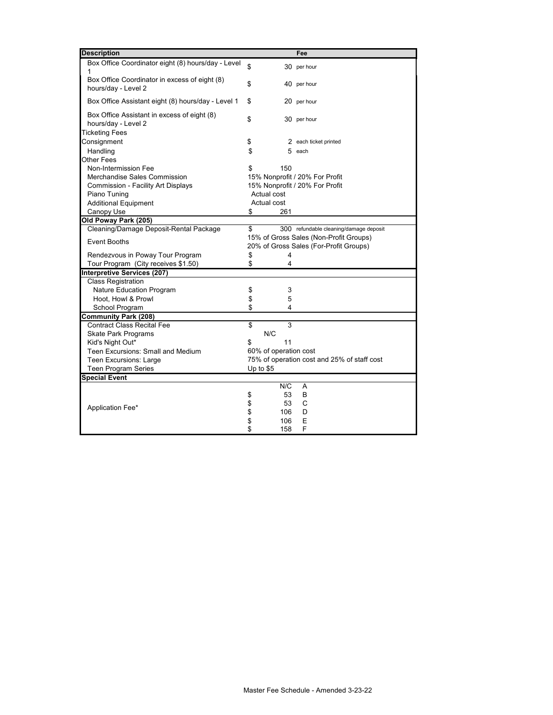| <b>Description</b>                                 | Fee                                                                              |
|----------------------------------------------------|----------------------------------------------------------------------------------|
| Box Office Coordinator eight (8) hours/day - Level |                                                                                  |
| 1                                                  | \$<br>30 per hour                                                                |
| Box Office Coordinator in excess of eight (8)      | \$<br>40 per hour                                                                |
| hours/day - Level 2                                |                                                                                  |
| Box Office Assistant eight (8) hours/day - Level 1 | \$<br>20 per hour                                                                |
| Box Office Assistant in excess of eight (8)        |                                                                                  |
| hours/day - Level 2                                | \$<br>30 per hour                                                                |
| <b>Ticketing Fees</b>                              |                                                                                  |
| Consignment                                        | \$<br>2 each ticket printed                                                      |
| Handling                                           | \$<br>5 each                                                                     |
| <b>Other Fees</b>                                  |                                                                                  |
| Non-Intermission Fee                               | 150<br>S                                                                         |
|                                                    |                                                                                  |
| Merchandise Sales Commission                       | 15% Nonprofit / 20% For Profit                                                   |
| <b>Commission - Facility Art Displays</b>          | 15% Nonprofit / 20% For Profit                                                   |
| Piano Tuning                                       | Actual cost                                                                      |
| <b>Additional Equipment</b>                        | Actual cost                                                                      |
| Canopy Use                                         | \$<br>261                                                                        |
| Old Poway Park (205)                               |                                                                                  |
| Cleaning/Damage Deposit-Rental Package             | \$<br>300 refundable cleaning/damage deposit                                     |
| <b>Event Booths</b>                                | 15% of Gross Sales (Non-Profit Groups)<br>20% of Gross Sales (For-Profit Groups) |
| Rendezvous in Poway Tour Program                   | \$<br>4                                                                          |
| Tour Program (City receives \$1.50)                | \$<br>4                                                                          |
| <b>Interpretive Services (207)</b>                 |                                                                                  |
| <b>Class Registration</b>                          |                                                                                  |
| <b>Nature Education Program</b>                    | \$<br>3                                                                          |
| Hoot, Howl & Prowl                                 | \$<br>5                                                                          |
| School Program                                     | \$<br>4                                                                          |
| <b>Community Park (208)</b>                        |                                                                                  |
| <b>Contract Class Recital Fee</b>                  | $\overline{3}$<br>\$                                                             |
| <b>Skate Park Programs</b>                         | N/C                                                                              |
| Kid's Night Out*                                   | 11                                                                               |
| Teen Excursions: Small and Medium                  | 60% of operation cost                                                            |
| <b>Teen Excursions: Large</b>                      | 75% of operation cost and 25% of staff cost                                      |
| <b>Teen Program Series</b>                         | Up to \$5                                                                        |
| <b>Special Event</b>                               |                                                                                  |
|                                                    | N/C<br>Α                                                                         |
|                                                    | 53<br>B                                                                          |
|                                                    | \$<br>53<br>C                                                                    |
| Application Fee*                                   | \$<br>106<br>D                                                                   |
|                                                    | \$<br>\$<br>106<br>Ε                                                             |
|                                                    | \$<br>F<br>158                                                                   |
|                                                    |                                                                                  |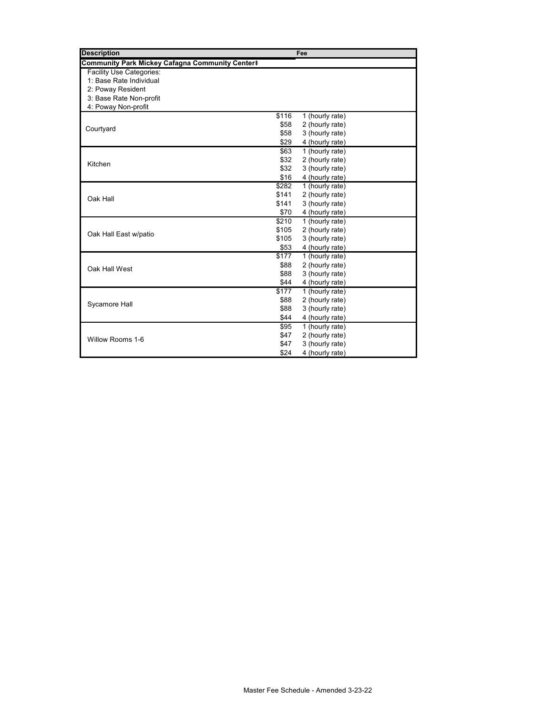| <b>Description</b>                                     |       | Fee             |
|--------------------------------------------------------|-------|-----------------|
| <b>Community Park Mickey Cafagna Community Center‡</b> |       |                 |
| <b>Facility Use Categories:</b>                        |       |                 |
| 1: Base Rate Individual                                |       |                 |
| 2: Poway Resident                                      |       |                 |
| 3: Base Rate Non-profit                                |       |                 |
| 4: Poway Non-profit                                    |       |                 |
|                                                        | \$116 | 1 (hourly rate) |
| Courtyard                                              | \$58  | 2 (hourly rate) |
|                                                        | \$58  | 3 (hourly rate) |
|                                                        | \$29  | 4 (hourly rate) |
|                                                        | \$63  | 1 (hourly rate) |
| Kitchen                                                | \$32  | 2 (hourly rate) |
|                                                        | \$32  | 3 (hourly rate) |
|                                                        | \$16  | 4 (hourly rate) |
|                                                        | \$282 | 1 (hourly rate) |
| Oak Hall                                               | \$141 | 2 (hourly rate) |
|                                                        | \$141 | 3 (hourly rate) |
|                                                        | \$70  | 4 (hourly rate) |
|                                                        | \$210 | 1 (hourly rate) |
| Oak Hall East w/patio                                  | \$105 | 2 (hourly rate) |
|                                                        | \$105 | 3 (hourly rate) |
|                                                        | \$53  | 4 (hourly rate) |
|                                                        | \$177 | 1 (hourly rate) |
| Oak Hall West                                          | \$88  | 2 (hourly rate) |
|                                                        | \$88  | 3 (hourly rate) |
|                                                        | \$44  | 4 (hourly rate) |
|                                                        | \$177 | 1 (hourly rate) |
| Sycamore Hall                                          | \$88  | 2 (hourly rate) |
|                                                        | \$88  | 3 (hourly rate) |
|                                                        | \$44  | 4 (hourly rate) |
|                                                        | \$95  | 1 (hourly rate) |
| Willow Rooms 1-6                                       | \$47  | 2 (hourly rate) |
|                                                        | \$47  | 3 (hourly rate) |
|                                                        | \$24  | 4 (hourly rate) |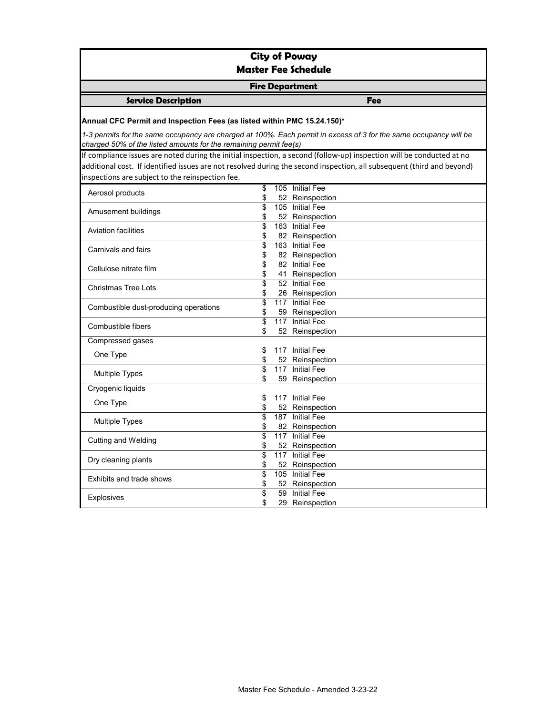# **City of Poway Master Fee Schedule**

## **Fire Department**

### **Service Description**

 **Fee**

### **Annual CFC Permit and Inspection Fees (as listed within PMC 15.24.150)\***

*1-3 permits for the same occupancy are charged at 100%. Each permit in excess of 3 for the same occupancy will be charged 50% of the listed amounts for the remaining permit fee(s)*

If compliance issues are noted during the initial inspection, a second (follow-up) inspection will be conducted at no additional cost. If identified issues are not resolved during the second inspection, all subsequent (third and beyond) inspections are subject to the reinspection fee.

| Aerosol products                      | \$              | 105 | <b>Initial Fee</b> |
|---------------------------------------|-----------------|-----|--------------------|
|                                       | \$              |     | 52 Reinspection    |
| Amusement buildings                   | \$              | 105 | <b>Initial Fee</b> |
|                                       | \$              |     | 52 Reinspection    |
| <b>Aviation facilities</b>            | \$              |     | 163 Initial Fee    |
|                                       | \$              |     | 82 Reinspection    |
| Carnivals and fairs                   | \$              |     | 163 Initial Fee    |
|                                       | \$              |     | 82 Reinspection    |
| Cellulose nitrate film                | \$              |     | 82 Initial Fee     |
|                                       | \$              |     | 41 Reinspection    |
| <b>Christmas Tree Lots</b>            | $\overline{\$}$ |     | 52 Initial Fee     |
|                                       | \$              |     | 26 Reinspection    |
| Combustible dust-producing operations | \$              | 117 | <b>Initial Fee</b> |
|                                       | \$              |     | 59 Reinspection    |
| Combustible fibers                    | \$              | 117 | <b>Initial Fee</b> |
|                                       | \$              |     | 52 Reinspection    |
| Compressed gases                      |                 |     |                    |
| One Type                              | \$              | 117 | <b>Initial Fee</b> |
|                                       | \$              |     | 52 Reinspection    |
| Multiple Types                        | \$              | 117 | <b>Initial Fee</b> |
|                                       | \$              |     | 59 Reinspection    |
| Cryogenic liquids                     |                 |     |                    |
| One Type                              | \$              |     | 117 Initial Fee    |
|                                       | \$              |     | 52 Reinspection    |
| Multiple Types                        | \$              | 187 | <b>Initial Fee</b> |
|                                       | \$              |     | 82 Reinspection    |
| <b>Cutting and Welding</b>            | \$              |     | 117 Initial Fee    |
|                                       | \$              |     | 52 Reinspection    |
| Dry cleaning plants                   | \$              | 117 | <b>Initial Fee</b> |
|                                       | \$              |     | 52 Reinspection    |
| Exhibits and trade shows              | \$              |     | 105 Initial Fee    |
|                                       | \$              |     | 52 Reinspection    |
|                                       | \$              | 59  | <b>Initial Fee</b> |
| <b>Explosives</b>                     | \$              |     | 29 Reinspection    |
|                                       |                 |     |                    |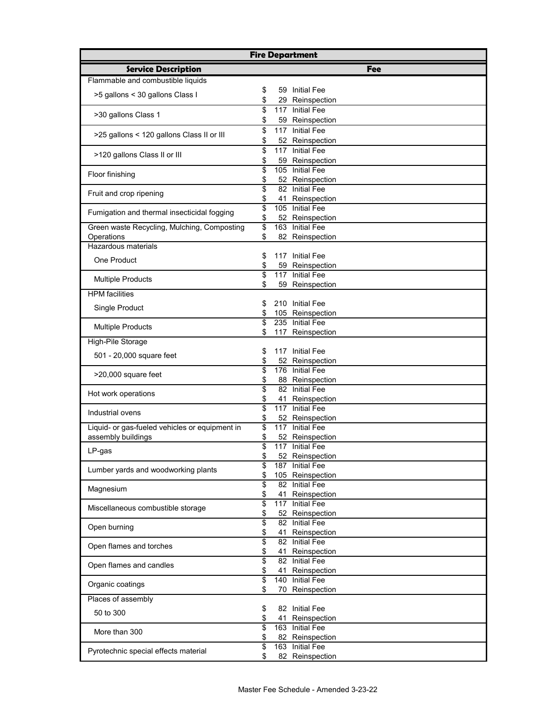|                                                                      |                 |     | <b>Fire Department</b>                |
|----------------------------------------------------------------------|-----------------|-----|---------------------------------------|
| <b>Service Description</b>                                           |                 |     | <b>Fee</b>                            |
| Flammable and combustible liquids                                    |                 |     |                                       |
| >5 gallons < 30 gallons Class I                                      | \$              | 59  | <b>Initial Fee</b>                    |
|                                                                      | \$              | 29  | Reinspection                          |
| >30 gallons Class 1                                                  | \$              | 117 | <b>Initial Fee</b>                    |
|                                                                      | \$<br>\$        |     | 59 Reinspection<br>117 Initial Fee    |
| >25 gallons < 120 gallons Class II or III                            | \$              |     | 52 Reinspection                       |
|                                                                      | \$              | 117 | <b>Initial Fee</b>                    |
| >120 gallons Class II or III                                         | \$              |     | 59 Reinspection                       |
| Floor finishing                                                      | \$              |     | 105 Initial Fee                       |
|                                                                      | \$              |     | 52 Reinspection                       |
| Fruit and crop ripening                                              | \$<br>\$        |     | 82 Initial Fee<br>41 Reinspection     |
|                                                                      | \$              |     | 105 Initial Fee                       |
| Fumigation and thermal insecticidal fogging                          | \$              |     | 52 Reinspection                       |
| Green waste Recycling, Mulching, Composting                          | \$              | 163 | <b>Initial Fee</b>                    |
| Operations                                                           | \$              |     | 82 Reinspection                       |
| <b>Hazardous materials</b>                                           |                 | 117 | <b>Initial Fee</b>                    |
| One Product                                                          | \$<br>\$        | 59  | Reinspection                          |
|                                                                      | \$              | 117 | <b>Initial Fee</b>                    |
| <b>Multiple Products</b>                                             | \$              | 59  | Reinspection                          |
| <b>HPM</b> facilities                                                |                 |     |                                       |
| Single Product                                                       | \$              | 210 | <b>Initial Fee</b>                    |
|                                                                      | \$<br>\$        |     | 105 Reinspection<br>235 Initial Fee   |
| <b>Multiple Products</b>                                             | \$              |     | 117 Reinspection                      |
| High-Pile Storage                                                    |                 |     |                                       |
| 501 - 20,000 square feet                                             | \$              | 117 | <b>Initial Fee</b>                    |
|                                                                      | \$              |     | 52 Reinspection                       |
| >20,000 square feet                                                  | \$<br>\$        |     | 176 Initial Fee<br>88 Reinspection    |
|                                                                      | \$              |     | 82 Initial Fee                        |
| Hot work operations                                                  | \$              | 41  | Reinspection                          |
| Industrial ovens                                                     | \$              | 117 | <b>Initial Fee</b>                    |
|                                                                      | \$              |     | 52 Reinspection                       |
| Liquid- or gas-fueled vehicles or equipment in<br>assembly buildings | \$<br>\$        | 117 | <b>Initial Fee</b><br>52 Reinspection |
|                                                                      | \$              | 117 | <b>Initial Fee</b>                    |
| LP-gas                                                               | \$              |     | 52 Reinspection                       |
| Lumber yards and woodworking plants                                  | \$              |     | 187 Initial Fee                       |
|                                                                      | \$              |     | 105 Reinspection<br>82 Initial Fee    |
| Magnesium                                                            | \$<br>\$        |     | 41 Reinspection                       |
|                                                                      | $\overline{\$}$ |     | 117 Initial Fee                       |
| Miscellaneous combustible storage                                    | \$              |     | 52 Reinspection                       |
| Open burning                                                         | \$              | 82. | <b>Initial Fee</b>                    |
|                                                                      | \$              |     | 41 Reinspection                       |
| Open flames and torches                                              | \$<br>\$        |     | 82 Initial Fee<br>41 Reinspection     |
|                                                                      | \$              | 82  | <b>Initial Fee</b>                    |
| Open flames and candles                                              | \$              |     | 41 Reinspection                       |
| Organic coatings                                                     | \$<br>\$        |     | 140 Initial Fee<br>70 Reinspection    |
| Places of assembly                                                   |                 |     |                                       |
| 50 to 300                                                            | \$              | 82  | <b>Initial Fee</b>                    |
|                                                                      | \$              | 41  | Reinspection                          |
| More than 300                                                        | \$              |     | 163 Initial Fee<br>82 Reinspection    |
|                                                                      | \$<br>\$        |     | 163 Initial Fee                       |
| Pyrotechnic special effects material                                 | \$              |     | 82 Reinspection                       |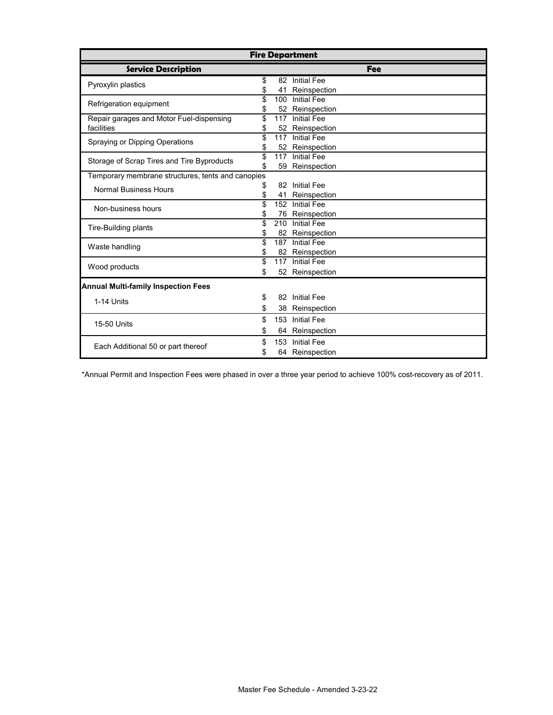| <b>Fire Department</b>                                 |          |           |                                       |  |  |  |
|--------------------------------------------------------|----------|-----------|---------------------------------------|--|--|--|
| <b>Service Description</b>                             |          |           | <b>Fee</b>                            |  |  |  |
| Pyroxylin plastics                                     | \$<br>\$ | 82<br>41  | <b>Initial Fee</b><br>Reinspection    |  |  |  |
| Refrigeration equipment                                | \$<br>\$ |           | 100 Initial Fee<br>52 Reinspection    |  |  |  |
| Repair garages and Motor Fuel-dispensing<br>facilities | \$<br>\$ | 117       | <b>Initial Fee</b><br>52 Reinspection |  |  |  |
| <b>Spraying or Dipping Operations</b>                  | \$<br>\$ | 117       | <b>Initial Fee</b><br>52 Reinspection |  |  |  |
| Storage of Scrap Tires and Tire Byproducts             | \$<br>\$ | 117<br>59 | <b>Initial Fee</b><br>Reinspection    |  |  |  |
| Temporary membrane structures, tents and canopies      |          |           |                                       |  |  |  |
| <b>Normal Business Hours</b>                           | \$<br>\$ | 82<br>41  | <b>Initial Fee</b><br>Reinspection    |  |  |  |
| Non-business hours                                     | \$<br>\$ |           | 152 Initial Fee<br>76 Reinspection    |  |  |  |
| <b>Tire-Building plants</b>                            | \$<br>\$ | 210       | <b>Initial Fee</b><br>82 Reinspection |  |  |  |
| Waste handling                                         | \$<br>\$ | 187       | <b>Initial Fee</b><br>82 Reinspection |  |  |  |
| Wood products                                          | \$<br>\$ | 117       | <b>Initial Fee</b><br>52 Reinspection |  |  |  |
| <b>Annual Multi-family Inspection Fees</b>             |          |           |                                       |  |  |  |
| 1-14 Units                                             | \$<br>\$ | 82        | <b>Initial Fee</b><br>38 Reinspection |  |  |  |
| 15-50 Units                                            | \$<br>\$ | 153       | <b>Initial Fee</b><br>64 Reinspection |  |  |  |
| Each Additional 50 or part thereof                     | \$<br>\$ |           | 153 Initial Fee<br>64 Reinspection    |  |  |  |

\*Annual Permit and Inspection Fees were phased in over a three year period to achieve 100% cost-recovery as of 2011.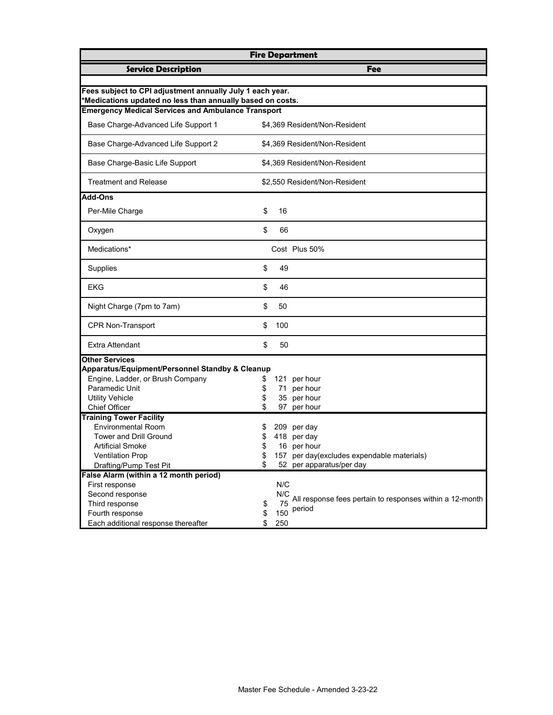| <b>Fire Department</b>                                                                                                  |          |           |                                                          |  |
|-------------------------------------------------------------------------------------------------------------------------|----------|-----------|----------------------------------------------------------|--|
| <b>Service Description</b>                                                                                              |          |           | <b>Fee</b>                                               |  |
|                                                                                                                         |          |           |                                                          |  |
| Fees subject to CPI adjustment annually July 1 each year.<br>*Medications updated no less than annually based on costs. |          |           |                                                          |  |
| <b>Emergency Medical Services and Ambulance Transport</b>                                                               |          |           |                                                          |  |
| Base Charge-Advanced Life Support 1                                                                                     |          |           | \$4,369 Resident/Non-Resident                            |  |
| Base Charge-Advanced Life Support 2                                                                                     |          |           | \$4,369 Resident/Non-Resident                            |  |
| Base Charge-Basic Life Support                                                                                          |          |           | \$4,369 Resident/Non-Resident                            |  |
| <b>Treatment and Release</b>                                                                                            |          |           | \$2,550 Resident/Non-Resident                            |  |
| <b>Add-Ons</b>                                                                                                          |          |           |                                                          |  |
| Per-Mile Charge                                                                                                         | \$       | 16        |                                                          |  |
| Oxygen                                                                                                                  | \$       | 66        |                                                          |  |
| Medications*                                                                                                            |          |           | Cost Plus 50%                                            |  |
| <b>Supplies</b>                                                                                                         | \$       | 49        |                                                          |  |
| <b>EKG</b>                                                                                                              | \$       | 46        |                                                          |  |
| Night Charge (7pm to 7am)                                                                                               | \$       | 50        |                                                          |  |
| <b>CPR Non-Transport</b>                                                                                                | \$       | 100       |                                                          |  |
| <b>Extra Attendant</b>                                                                                                  | \$       | 50        |                                                          |  |
| <b>Other Services</b>                                                                                                   |          |           |                                                          |  |
| Apparatus/Equipment/Personnel Standby & Cleanup                                                                         |          |           |                                                          |  |
| Engine, Ladder, or Brush Company                                                                                        | \$       |           | 121 per hour                                             |  |
| Paramedic Unit                                                                                                          | \$       |           | 71 per hour                                              |  |
| <b>Utility Vehicle</b>                                                                                                  | \$       |           | 35 per hour                                              |  |
| <b>Chief Officer</b>                                                                                                    | \$       |           | 97 per hour                                              |  |
| <b>Training Tower Facility</b>                                                                                          |          |           |                                                          |  |
| <b>Environmental Room</b>                                                                                               | \$       |           | 209 per day                                              |  |
| <b>Tower and Drill Ground</b>                                                                                           | \$       |           | 418 per day                                              |  |
| <b>Artificial Smoke</b>                                                                                                 | \$       |           | 16 per hour                                              |  |
| <b>Ventilation Prop</b>                                                                                                 |          |           | 157 per day(excludes expendable materials)               |  |
| Drafting/Pump Test Pit                                                                                                  | \$       |           | 52 per apparatus/per day                                 |  |
| False Alarm (within a 12 month period)                                                                                  |          |           |                                                          |  |
| First response                                                                                                          |          | N/C       |                                                          |  |
| Second response                                                                                                         |          | N/C       | All response fees pertain to responses within a 12-month |  |
| Third response                                                                                                          | \$       | 75<br>150 | period                                                   |  |
| Fourth response<br>Each additional response thereafter                                                                  | \$<br>\$ | 250       |                                                          |  |
|                                                                                                                         |          |           |                                                          |  |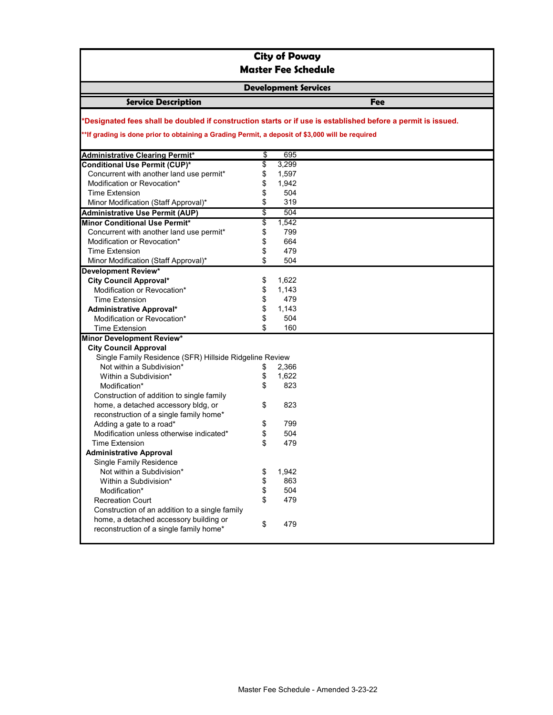## **City of Poway Master Fee Schedule**

## **Development Services**

## **Service Description**

 **Fee**

**\*Designated fees shall be doubled if construction starts or if use is established before a permit is issued.**

## **\*\*If grading is done prior to obtaining a Grading Permit, a deposit of \$3,000 will be required**

| <b>Administrative Clearing Permit*</b>                  | \$<br>695   |  |
|---------------------------------------------------------|-------------|--|
| <b>Conditional Use Permit (CUP)*</b>                    | \$<br>3,299 |  |
| Concurrent with another land use permit*                | \$<br>1,597 |  |
| Modification or Revocation*                             | \$<br>1,942 |  |
| <b>Time Extension</b>                                   | \$<br>504   |  |
| Minor Modification (Staff Approval)*                    | \$<br>319   |  |
| <b>Administrative Use Permit (AUP)</b>                  | \$<br>504   |  |
| <b>Minor Conditional Use Permit*</b>                    | \$<br>1,542 |  |
| Concurrent with another land use permit*                | \$<br>799   |  |
| Modification or Revocation*                             | \$<br>664   |  |
| <b>Time Extension</b>                                   | \$<br>479   |  |
| Minor Modification (Staff Approval)*                    | \$<br>504   |  |
| <b>Development Review*</b>                              |             |  |
| <b>City Council Approval*</b>                           | \$<br>1,622 |  |
| Modification or Revocation*                             | \$<br>1,143 |  |
| <b>Time Extension</b>                                   | \$<br>479   |  |
| <b>Administrative Approval*</b>                         | \$<br>1,143 |  |
| Modification or Revocation*                             | \$<br>504   |  |
| <b>Time Extension</b>                                   | \$<br>160   |  |
| <b>Minor Development Review*</b>                        |             |  |
| <b>City Council Approval</b>                            |             |  |
| Single Family Residence (SFR) Hillside Ridgeline Review |             |  |
| Not within a Subdivision*                               | \$<br>2,366 |  |
| Within a Subdivision*                                   | \$<br>1,622 |  |
| Modification*                                           | \$<br>823   |  |
| Construction of addition to single family               |             |  |
| home, a detached accessory bldg, or                     | \$<br>823   |  |
| reconstruction of a single family home*                 |             |  |
| Adding a gate to a road*                                | \$<br>799   |  |
| Modification unless otherwise indicated*                | \$<br>504   |  |
| <b>Time Extension</b>                                   | \$<br>479   |  |
| <b>Administrative Approval</b>                          |             |  |
| <b>Single Family Residence</b>                          |             |  |
| Not within a Subdivision*                               | \$<br>1,942 |  |
| Within a Subdivision*                                   | \$<br>863   |  |
| Modification*                                           | \$<br>504   |  |
| <b>Recreation Court</b>                                 | \$<br>479   |  |
| Construction of an addition to a single family          |             |  |
| home, a detached accessory building or                  |             |  |
| reconstruction of a single family home*                 | \$<br>479   |  |
|                                                         |             |  |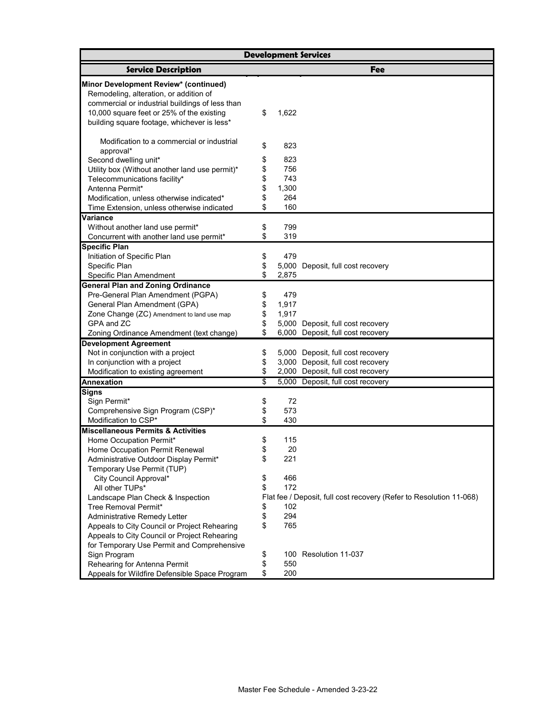| <b>Development Services</b>                                          |          |            |                                                                     |  |  |
|----------------------------------------------------------------------|----------|------------|---------------------------------------------------------------------|--|--|
| <b>Service Description</b>                                           |          |            | <b>Fee</b>                                                          |  |  |
| Minor Development Review* (continued)                                |          |            |                                                                     |  |  |
| Remodeling, alteration, or addition of                               |          |            |                                                                     |  |  |
| commercial or industrial buildings of less than                      |          |            |                                                                     |  |  |
| 10,000 square feet or 25% of the existing                            | \$       | 1,622      |                                                                     |  |  |
| building square footage, whichever is less*                          |          |            |                                                                     |  |  |
| Modification to a commercial or industrial                           | \$       | 823        |                                                                     |  |  |
| approval*                                                            |          |            |                                                                     |  |  |
| Second dwelling unit*                                                | \$       | 823        |                                                                     |  |  |
| Utility box (Without another land use permit)*                       | \$       | 756        |                                                                     |  |  |
| Telecommunications facility*                                         | \$       | 743        |                                                                     |  |  |
| Antenna Permit*                                                      | \$       | 1,300      |                                                                     |  |  |
| Modification, unless otherwise indicated*                            | \$<br>\$ | 264<br>160 |                                                                     |  |  |
| Time Extension, unless otherwise indicated<br><b>Variance</b>        |          |            |                                                                     |  |  |
| Without another land use permit*                                     | \$       | 799        |                                                                     |  |  |
| Concurrent with another land use permit*                             | \$       | 319        |                                                                     |  |  |
| <b>Specific Plan</b>                                                 |          |            |                                                                     |  |  |
| Initiation of Specific Plan                                          | \$       | 479        |                                                                     |  |  |
| Specific Plan                                                        | \$       |            | 5,000 Deposit, full cost recovery                                   |  |  |
| Specific Plan Amendment                                              |          | 2,875      |                                                                     |  |  |
| <b>General Plan and Zoning Ordinance</b>                             |          |            |                                                                     |  |  |
| Pre-General Plan Amendment (PGPA)                                    | \$       | 479        |                                                                     |  |  |
| General Plan Amendment (GPA)                                         | \$       | 1,917      |                                                                     |  |  |
| Zone Change (ZC) Amendment to land use map                           | \$       | 1,917      |                                                                     |  |  |
| GPA and ZC                                                           | \$       |            | 5,000 Deposit, full cost recovery                                   |  |  |
| Zoning Ordinance Amendment (text change)                             | \$       |            | 6,000 Deposit, full cost recovery                                   |  |  |
| <b>Development Agreement</b>                                         |          |            |                                                                     |  |  |
| Not in conjunction with a project                                    | \$       |            | 5,000 Deposit, full cost recovery                                   |  |  |
| In conjunction with a project                                        | \$       |            | 3,000 Deposit, full cost recovery                                   |  |  |
| Modification to existing agreement                                   | \$       |            | 2,000 Deposit, full cost recovery                                   |  |  |
| <b>Annexation</b>                                                    | \$       |            | 5,000 Deposit, full cost recovery                                   |  |  |
| Signs                                                                |          |            |                                                                     |  |  |
| Sign Permit*                                                         | \$       | 72         |                                                                     |  |  |
| Comprehensive Sign Program (CSP)*                                    | \$       | 573        |                                                                     |  |  |
| Modification to CSP*                                                 | \$       | 430        |                                                                     |  |  |
| <b>Miscellaneous Permits &amp; Activities</b>                        |          |            |                                                                     |  |  |
| Home Occupation Permit*                                              | \$       | 115        |                                                                     |  |  |
| Home Occupation Permit Renewal                                       | \$<br>\$ | 20<br>221  |                                                                     |  |  |
| Administrative Outdoor Display Permit*<br>Temporary Use Permit (TUP) |          |            |                                                                     |  |  |
| City Council Approval*                                               |          | 466        |                                                                     |  |  |
| All other TUPs*                                                      | \$<br>\$ | 172        |                                                                     |  |  |
| Landscape Plan Check & Inspection                                    |          |            | Flat fee / Deposit, full cost recovery (Refer to Resolution 11-068) |  |  |
| Tree Removal Permit*                                                 | \$       | 102        |                                                                     |  |  |
| Administrative Remedy Letter                                         | \$       | 294        |                                                                     |  |  |
| Appeals to City Council or Project Rehearing                         | \$       | 765        |                                                                     |  |  |
| Appeals to City Council or Project Rehearing                         |          |            |                                                                     |  |  |
| for Temporary Use Permit and Comprehensive                           |          |            |                                                                     |  |  |
| Sign Program                                                         | \$       |            | 100 Resolution 11-037                                               |  |  |
| Rehearing for Antenna Permit                                         | \$       | 550        |                                                                     |  |  |
| Appeals for Wildfire Defensible Space Program                        | \$       | 200        |                                                                     |  |  |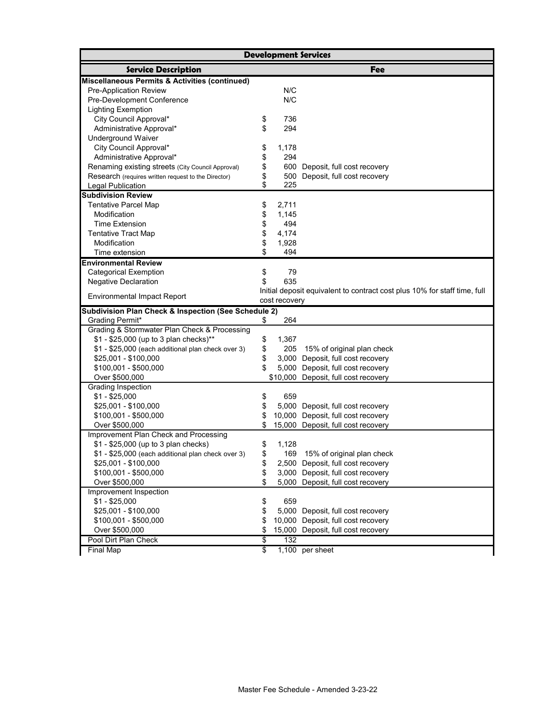| <b>Development Services</b>                                                   |          |               |                                                                           |  |
|-------------------------------------------------------------------------------|----------|---------------|---------------------------------------------------------------------------|--|
| <b>Service Description</b>                                                    |          |               | <b>Fee</b>                                                                |  |
| <b>Miscellaneous Permits &amp; Activities (continued)</b>                     |          |               |                                                                           |  |
| Pre-Application Review                                                        |          | N/C           |                                                                           |  |
| Pre-Development Conference                                                    |          | N/C           |                                                                           |  |
| <b>Lighting Exemption</b>                                                     |          |               |                                                                           |  |
| City Council Approval*                                                        | \$       | 736           |                                                                           |  |
| Administrative Approval*                                                      | \$       | 294           |                                                                           |  |
| <b>Underground Waiver</b>                                                     |          |               |                                                                           |  |
| City Council Approval*                                                        | \$       | 1,178         |                                                                           |  |
| Administrative Approval*                                                      | \$       | 294           |                                                                           |  |
| Renaming existing streets (City Council Approval)                             | \$       | 600           | Deposit, full cost recovery                                               |  |
| Research (requires written request to the Director)                           | \$       | 500           | Deposit, full cost recovery                                               |  |
| <b>Legal Publication</b>                                                      | \$       | 225           |                                                                           |  |
| <b>Subdivision Review</b>                                                     |          |               |                                                                           |  |
| <b>Tentative Parcel Map</b>                                                   | \$       | 2,711         |                                                                           |  |
| Modification                                                                  | \$       | 1,145         |                                                                           |  |
| <b>Time Extension</b>                                                         | \$       | 494           |                                                                           |  |
| <b>Tentative Tract Map</b>                                                    | \$       | 4,174         |                                                                           |  |
| Modification                                                                  | \$       | 1,928         |                                                                           |  |
| Time extension                                                                | \$       | 494           |                                                                           |  |
| <b>Environmental Review</b>                                                   |          |               |                                                                           |  |
| <b>Categorical Exemption</b>                                                  | \$       | 79            |                                                                           |  |
| <b>Negative Declaration</b>                                                   | \$       | 635           |                                                                           |  |
|                                                                               |          |               | Initial deposit equivalent to contract cost plus 10% for staff time, full |  |
| <b>Environmental Impact Report</b>                                            |          | cost recovery |                                                                           |  |
| Subdivision Plan Check & Inspection (See Schedule 2)                          |          |               |                                                                           |  |
| <b>Grading Permit*</b>                                                        | \$       | 264           |                                                                           |  |
| Grading & Stormwater Plan Check & Processing                                  |          |               |                                                                           |  |
| \$1 - \$25,000 (up to 3 plan checks)**                                        | \$       | 1,367         |                                                                           |  |
| \$1 - \$25,000 (each additional plan check over 3)                            | \$       | 205           | 15% of original plan check                                                |  |
| \$25,001 - \$100,000                                                          | \$       | 3,000         | Deposit, full cost recovery                                               |  |
| $$100,001 - $500,000$                                                         |          |               | 5,000 Deposit, full cost recovery<br>\$10,000 Deposit, full cost recovery |  |
| Over \$500,000                                                                |          |               |                                                                           |  |
| <b>Grading Inspection</b><br>$$1 - $25,000$                                   |          | 659           |                                                                           |  |
| \$25,001 - \$100,000                                                          | \$       |               | 5,000 Deposit, full cost recovery                                         |  |
|                                                                               | \$       |               | 10,000 Deposit, full cost recovery                                        |  |
| $$100,001 - $500,000$                                                         | \$       |               | 15,000 Deposit, full cost recovery                                        |  |
| Over \$500,000                                                                |          |               |                                                                           |  |
| Improvement Plan Check and Processing<br>\$1 - \$25,000 (up to 3 plan checks) |          | 1,128         |                                                                           |  |
|                                                                               | \$       | 169           |                                                                           |  |
| \$1 - \$25,000 (each additional plan check over 3)                            | \$       |               | 15% of original plan check                                                |  |
| \$25,001 - \$100,000                                                          | \$       |               | 2,500 Deposit, full cost recovery                                         |  |
| $$100,001 - $500,000$                                                         | \$<br>\$ |               | 3,000 Deposit, full cost recovery                                         |  |
| Over \$500,000                                                                |          |               | 5,000 Deposit, full cost recovery                                         |  |
| Improvement Inspection                                                        |          |               |                                                                           |  |
| $$1 - $25,000$                                                                | \$       | 659           |                                                                           |  |
| \$25,001 - \$100,000                                                          | \$       |               | 5,000 Deposit, full cost recovery                                         |  |
| \$100,001 - \$500,000                                                         | \$       |               | 10,000 Deposit, full cost recovery                                        |  |
| Over \$500,000                                                                | \$       |               | 15,000 Deposit, full cost recovery                                        |  |
| Pool Dirt Plan Check                                                          | \$       | 132           |                                                                           |  |
| <b>Final Map</b>                                                              | \$       |               | 1,100 per sheet                                                           |  |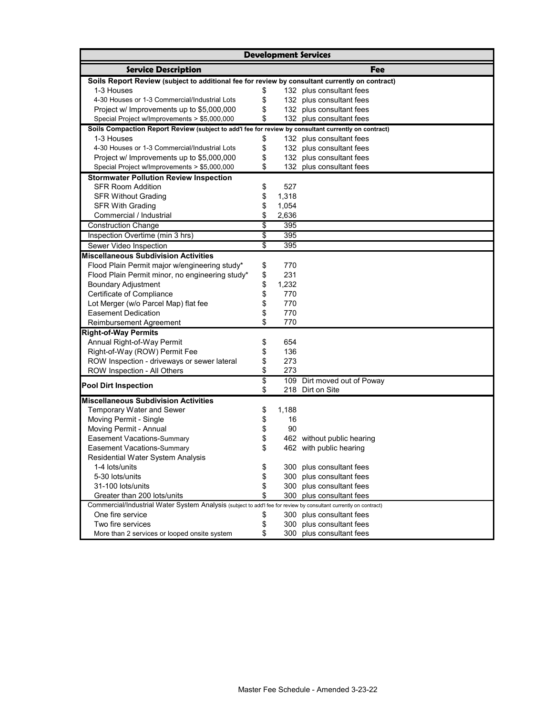| <b>Development Services</b>                                                                                       |    |       |                             |  |  |  |  |  |
|-------------------------------------------------------------------------------------------------------------------|----|-------|-----------------------------|--|--|--|--|--|
| <b>Service Description</b>                                                                                        |    |       | <b>Fee</b>                  |  |  |  |  |  |
| Soils Report Review (subject to additional fee for review by consultant currently on contract)                    |    |       |                             |  |  |  |  |  |
| 1-3 Houses                                                                                                        | \$ |       | 132 plus consultant fees    |  |  |  |  |  |
| 4-30 Houses or 1-3 Commercial/Industrial Lots                                                                     | \$ |       | 132 plus consultant fees    |  |  |  |  |  |
| Project w/ Improvements up to \$5,000,000                                                                         | \$ |       | 132 plus consultant fees    |  |  |  |  |  |
| Special Project w/Improvements > \$5,000,000                                                                      | \$ |       | 132 plus consultant fees    |  |  |  |  |  |
| Soils Compaction Report Review (subject to add'l fee for review by consultant currently on contract)              |    |       |                             |  |  |  |  |  |
| 1-3 Houses                                                                                                        | \$ |       | 132 plus consultant fees    |  |  |  |  |  |
| 4-30 Houses or 1-3 Commercial/Industrial Lots                                                                     | \$ |       | 132 plus consultant fees    |  |  |  |  |  |
| Project w/ Improvements up to \$5,000,000                                                                         | \$ |       | 132 plus consultant fees    |  |  |  |  |  |
| Special Project w/Improvements > \$5,000,000                                                                      | \$ |       | 132 plus consultant fees    |  |  |  |  |  |
| <b>Stormwater Pollution Review Inspection</b>                                                                     |    |       |                             |  |  |  |  |  |
| <b>SFR Room Addition</b>                                                                                          | \$ | 527   |                             |  |  |  |  |  |
| <b>SFR Without Grading</b>                                                                                        | \$ | 1,318 |                             |  |  |  |  |  |
| <b>SFR With Grading</b>                                                                                           | \$ | 1,054 |                             |  |  |  |  |  |
| Commercial / Industrial                                                                                           | \$ | 2,636 |                             |  |  |  |  |  |
| <b>Construction Change</b>                                                                                        | \$ | 395   |                             |  |  |  |  |  |
| Inspection Overtime (min 3 hrs)                                                                                   | \$ | 395   |                             |  |  |  |  |  |
| Sewer Video Inspection                                                                                            | \$ | 395   |                             |  |  |  |  |  |
| <b>Miscellaneous Subdivision Activities</b>                                                                       |    |       |                             |  |  |  |  |  |
| Flood Plain Permit major w/engineering study*                                                                     | \$ | 770   |                             |  |  |  |  |  |
| Flood Plain Permit minor, no engineering study*                                                                   | \$ | 231   |                             |  |  |  |  |  |
| <b>Boundary Adjustment</b>                                                                                        | \$ | 1,232 |                             |  |  |  |  |  |
| Certificate of Compliance                                                                                         | \$ | 770   |                             |  |  |  |  |  |
| Lot Merger (w/o Parcel Map) flat fee                                                                              | \$ | 770   |                             |  |  |  |  |  |
| <b>Easement Dedication</b>                                                                                        | \$ | 770   |                             |  |  |  |  |  |
| Reimbursement Agreement                                                                                           | \$ | 770   |                             |  |  |  |  |  |
| <b>Right-of-Way Permits</b>                                                                                       |    |       |                             |  |  |  |  |  |
| Annual Right-of-Way Permit                                                                                        | \$ | 654   |                             |  |  |  |  |  |
| Right-of-Way (ROW) Permit Fee                                                                                     | \$ | 136   |                             |  |  |  |  |  |
| ROW Inspection - driveways or sewer lateral                                                                       | \$ | 273   |                             |  |  |  |  |  |
| ROW Inspection - All Others                                                                                       | \$ | 273   |                             |  |  |  |  |  |
|                                                                                                                   | \$ |       | 109 Dirt moved out of Poway |  |  |  |  |  |
| <b>Pool Dirt Inspection</b>                                                                                       | \$ |       | 218 Dirt on Site            |  |  |  |  |  |
| <b>Miscellaneous Subdivision Activities</b>                                                                       |    |       |                             |  |  |  |  |  |
| <b>Temporary Water and Sewer</b>                                                                                  | \$ | 1,188 |                             |  |  |  |  |  |
| Moving Permit - Single                                                                                            | \$ | 16    |                             |  |  |  |  |  |
| Moving Permit - Annual                                                                                            | \$ | 90    |                             |  |  |  |  |  |
| <b>Easement Vacations-Summary</b>                                                                                 | \$ |       | 462 without public hearing  |  |  |  |  |  |
| <b>Easement Vacations-Summary</b>                                                                                 | \$ |       | 462 with public hearing     |  |  |  |  |  |
| Residential Water System Analysis                                                                                 |    |       |                             |  |  |  |  |  |
| 1-4 lots/units                                                                                                    | \$ |       | 300 plus consultant fees    |  |  |  |  |  |
| 5-30 lots/units                                                                                                   | \$ |       | 300 plus consultant fees    |  |  |  |  |  |
| 31-100 lots/units                                                                                                 | \$ |       | 300 plus consultant fees    |  |  |  |  |  |
| Greater than 200 lots/units                                                                                       | \$ |       | 300 plus consultant fees    |  |  |  |  |  |
| Commercial/Industrial Water System Analysis (subject to add'I fee for review by consultant currently on contract) |    |       |                             |  |  |  |  |  |
| One fire service                                                                                                  | \$ |       | 300 plus consultant fees    |  |  |  |  |  |
| Two fire services                                                                                                 | \$ |       | 300 plus consultant fees    |  |  |  |  |  |
| More than 2 services or looped onsite system                                                                      | \$ |       | 300 plus consultant fees    |  |  |  |  |  |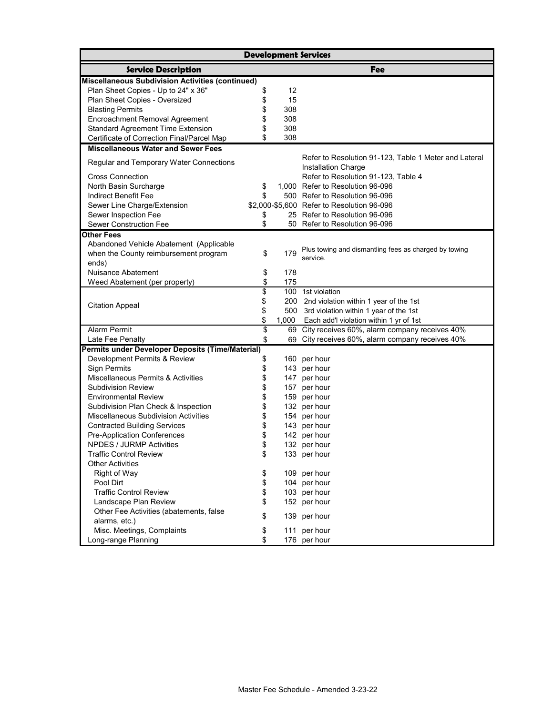| <b>Development Services</b>                             |     |       |                                                                              |  |  |
|---------------------------------------------------------|-----|-------|------------------------------------------------------------------------------|--|--|
| <b>Service Description</b>                              |     |       | <b>Fee</b>                                                                   |  |  |
| <b>Miscellaneous Subdivision Activities (continued)</b> |     |       |                                                                              |  |  |
| Plan Sheet Copies - Up to 24" x 36"                     | \$  | 12    |                                                                              |  |  |
| Plan Sheet Copies - Oversized                           | \$  | 15    |                                                                              |  |  |
| <b>Blasting Permits</b>                                 |     | 308   |                                                                              |  |  |
| <b>Encroachment Removal Agreement</b>                   |     | 308   |                                                                              |  |  |
| <b>Standard Agreement Time Extension</b>                |     | 308   |                                                                              |  |  |
| Certificate of Correction Final/Parcel Map              | \$. | 308   |                                                                              |  |  |
| <b>Miscellaneous Water and Sewer Fees</b>               |     |       |                                                                              |  |  |
| <b>Regular and Temporary Water Connections</b>          |     |       | Refer to Resolution 91-123, Table 1 Meter and Lateral<br>Installation Charge |  |  |
| <b>Cross Connection</b>                                 |     |       | Refer to Resolution 91-123, Table 4                                          |  |  |
| North Basin Surcharge                                   | \$  |       | 1,000 Refer to Resolution 96-096                                             |  |  |
| <b>Indirect Benefit Fee</b>                             | \$  |       | 500 Refer to Resolution 96-096                                               |  |  |
| Sewer Line Charge/Extension                             |     |       | \$2,000-\$5,600 Refer to Resolution 96-096                                   |  |  |
| Sewer Inspection Fee                                    | \$  |       | 25 Refer to Resolution 96-096                                                |  |  |
| <b>Sewer Construction Fee</b>                           | \$  |       | 50 Refer to Resolution 96-096                                                |  |  |
| <b>Other Fees</b>                                       |     |       |                                                                              |  |  |
| Abandoned Vehicle Abatement (Applicable                 |     |       |                                                                              |  |  |
| when the County reimbursement program                   | \$  | 179   | Plus towing and dismantling fees as charged by towing<br>service.            |  |  |
| ends)                                                   |     |       |                                                                              |  |  |
| <b>Nuisance Abatement</b>                               | \$  | 178   |                                                                              |  |  |
| Weed Abatement (per property)                           | \$  | 175   |                                                                              |  |  |
|                                                         | \$  |       | 100 1st violation                                                            |  |  |
| <b>Citation Appeal</b>                                  | \$  |       | 200 2nd violation within 1 year of the 1st                                   |  |  |
|                                                         | \$  |       | 500 3rd violation within 1 year of the 1st                                   |  |  |
|                                                         | \$  | 1,000 | Each add'l violation within 1 yr of 1st                                      |  |  |
| <b>Alarm Permit</b>                                     | \$  |       | 69 City receives 60%, alarm company receives 40%                             |  |  |
| Late Fee Penalty                                        | \$  | 69    | City receives 60%, alarm company receives 40%                                |  |  |
| <b>Permits under Developer Deposits (Time/Material)</b> |     |       |                                                                              |  |  |
| Development Permits & Review                            | \$  |       | 160 per hour                                                                 |  |  |
| <b>Sign Permits</b>                                     | \$  |       | 143 per hour                                                                 |  |  |
| Miscellaneous Permits & Activities                      |     |       | 147 per hour                                                                 |  |  |
| <b>Subdivision Review</b>                               |     |       | 157 per hour                                                                 |  |  |
| <b>Environmental Review</b>                             | \$  |       | 159 per hour                                                                 |  |  |
| Subdivision Plan Check & Inspection                     | \$  |       | 132 per hour                                                                 |  |  |
| Miscellaneous Subdivision Activities                    | \$  |       | 154 per hour                                                                 |  |  |
| <b>Contracted Building Services</b>                     | \$  |       | 143 per hour                                                                 |  |  |
| <b>Pre-Application Conferences</b>                      | \$  |       | 142 per hour                                                                 |  |  |
| <b>NPDES / JURMP Activities</b>                         | \$  |       | 132 per hour                                                                 |  |  |
| <b>Traffic Control Review</b>                           | \$  |       | 133 per hour                                                                 |  |  |
| <b>Other Activities</b>                                 |     |       |                                                                              |  |  |
| <b>Right of Way</b>                                     | \$  |       | 109 per hour                                                                 |  |  |
| Pool Dirt                                               | \$  |       | 104 per hour                                                                 |  |  |
| <b>Traffic Control Review</b>                           | \$  |       | 103 per hour                                                                 |  |  |
| Landscape Plan Review                                   | \$  |       | 152 per hour                                                                 |  |  |
| Other Fee Activities (abatements, false                 | \$  |       | 139 per hour                                                                 |  |  |
| alarms, etc.)                                           |     |       |                                                                              |  |  |
| Misc. Meetings, Complaints                              | \$  |       | 111 per hour                                                                 |  |  |
| Long-range Planning                                     |     |       | 176 per hour                                                                 |  |  |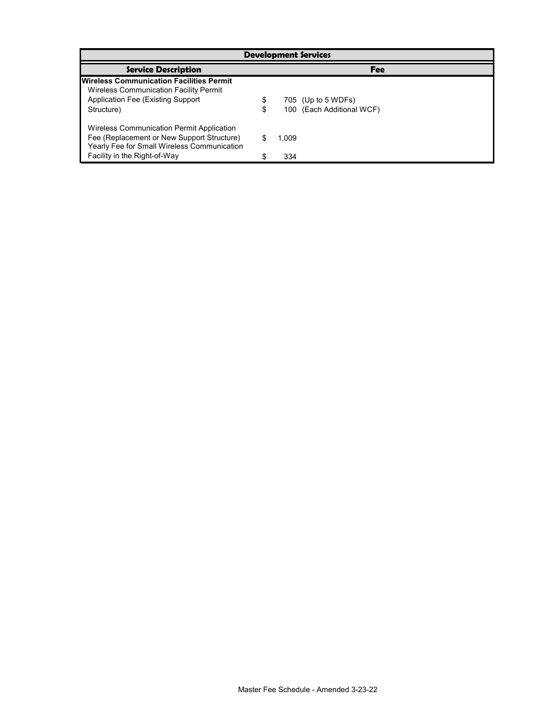| <b>Development Services</b>                                                                                                                                            |          |              |                                                 |  |  |
|------------------------------------------------------------------------------------------------------------------------------------------------------------------------|----------|--------------|-------------------------------------------------|--|--|
| <b>Service Description</b><br><b>Fee</b>                                                                                                                               |          |              |                                                 |  |  |
| <b>Wireless Communication Facilities Permit</b><br><b>Wireless Communication Facility Permit</b><br><b>Application Fee (Existing Support)</b><br>Structure)            | \$<br>\$ |              | 705 (Up to 5 WDFs)<br>100 (Each Additional WCF) |  |  |
| Wireless Communication Permit Application<br>Fee (Replacement or New Support Structure)<br>Yearly Fee for Small Wireless Communication<br>Facility in the Right-of-Way |          | 1.009<br>334 |                                                 |  |  |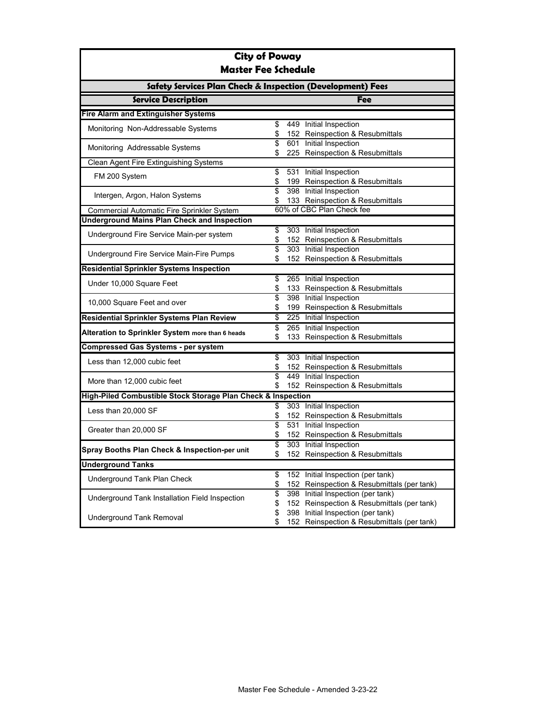| <b>City of Poway</b>                                         |          |     |                                                           |  |  |
|--------------------------------------------------------------|----------|-----|-----------------------------------------------------------|--|--|
| <b>Master Fee Schedule</b>                                   |          |     |                                                           |  |  |
| Safety Services Plan Check & Inspection (Development) Fees   |          |     |                                                           |  |  |
| <b>Service Description</b>                                   |          |     | Fee                                                       |  |  |
| <b>Fire Alarm and Extinguisher Systems</b>                   |          |     |                                                           |  |  |
| Monitoring Non-Addressable Systems                           | \$       |     | 449 Initial Inspection                                    |  |  |
|                                                              | \$       |     | 152 Reinspection & Resubmittals                           |  |  |
| Monitoring Addressable Systems                               | \$       |     | 601 Initial Inspection<br>225 Reinspection & Resubmittals |  |  |
| Clean Agent Fire Extinguishing Systems                       |          |     |                                                           |  |  |
|                                                              | \$       |     | 531 Initial Inspection                                    |  |  |
| FM 200 System                                                | \$       |     | 199 Reinspection & Resubmittals                           |  |  |
|                                                              | \$       |     | 398 Initial Inspection                                    |  |  |
| Intergen, Argon, Halon Systems                               | \$       |     | 133 Reinspection & Resubmittals                           |  |  |
| <b>Commercial Automatic Fire Sprinkler System</b>            |          |     | 60% of CBC Plan Check fee                                 |  |  |
| <b>Underground Mains Plan Check and Inspection</b>           |          |     |                                                           |  |  |
| Underground Fire Service Main-per system                     | \$       |     | 303 Initial Inspection                                    |  |  |
|                                                              | \$       |     | 152 Reinspection & Resubmittals                           |  |  |
| Underground Fire Service Main-Fire Pumps                     | \$       |     | 303 Initial Inspection                                    |  |  |
|                                                              | \$       |     | 152 Reinspection & Resubmittals                           |  |  |
| <b>Residential Sprinkler Systems Inspection</b>              |          |     |                                                           |  |  |
| Under 10,000 Square Feet                                     | \$<br>\$ |     | 265 Initial Inspection<br>133 Reinspection & Resubmittals |  |  |
|                                                              | \$       |     | 398 Initial Inspection                                    |  |  |
| 10,000 Square Feet and over                                  | \$       |     | 199 Reinspection & Resubmittals                           |  |  |
| <b>Residential Sprinkler Systems Plan Review</b>             | \$       | 225 | Initial Inspection                                        |  |  |
|                                                              | \$       |     | 265 Initial Inspection                                    |  |  |
| Alteration to Sprinkler System more than 6 heads             | \$       |     | 133 Reinspection & Resubmittals                           |  |  |
| <b>Compressed Gas Systems - per system</b>                   |          |     |                                                           |  |  |
| Less than 12,000 cubic feet                                  | \$       |     | 303 Initial Inspection                                    |  |  |
|                                                              | \$       |     | 152 Reinspection & Resubmittals                           |  |  |
| More than 12,000 cubic feet                                  | \$       |     | 449 Initial Inspection                                    |  |  |
|                                                              |          |     | 152 Reinspection & Resubmittals                           |  |  |
| High-Piled Combustible Stock Storage Plan Check & Inspection |          |     |                                                           |  |  |
| Less than 20,000 SF                                          | \$       |     | 303 Initial Inspection                                    |  |  |
|                                                              | \$<br>\$ |     | 152 Reinspection & Resubmittals<br>531 Initial Inspection |  |  |
| Greater than 20,000 SF                                       | \$       |     | 152 Reinspection & Resubmittals                           |  |  |
|                                                              | \$       |     | 303 Initial Inspection                                    |  |  |
| Spray Booths Plan Check & Inspection-per unit                | \$       |     | 152 Reinspection & Resubmittals                           |  |  |
| <b>Underground Tanks</b>                                     |          |     |                                                           |  |  |
|                                                              | \$       |     | 152 Initial Inspection (per tank)                         |  |  |
| Underground Tank Plan Check                                  | \$       | 152 | Reinspection & Resubmittals (per tank)                    |  |  |
| Underground Tank Installation Field Inspection               | \$       | 398 | Initial Inspection (per tank)                             |  |  |
|                                                              | \$       |     | 152 Reinspection & Resubmittals (per tank)                |  |  |
| <b>Underground Tank Removal</b>                              | \$       | 398 | Initial Inspection (per tank)                             |  |  |
|                                                              | \$       |     | 152 Reinspection & Resubmittals (per tank)                |  |  |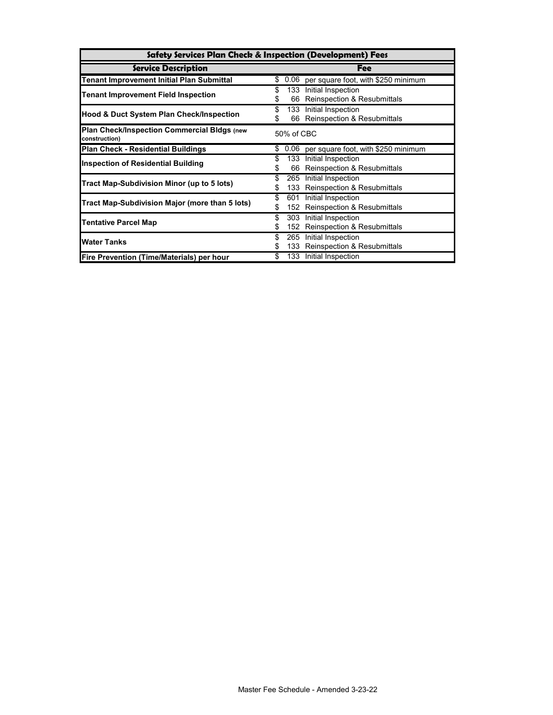| Safety Services Plan Check & Inspection (Development) Fees   |                                                                                        |  |  |  |  |
|--------------------------------------------------------------|----------------------------------------------------------------------------------------|--|--|--|--|
| <b>Service Description</b>                                   | Fee                                                                                    |  |  |  |  |
| <b>Tenant Improvement Initial Plan Submittal</b>             | \$<br>0.06 per square foot, with \$250 minimum                                         |  |  |  |  |
| <b>Tenant Improvement Field Inspection</b>                   | Initial Inspection<br>\$<br>133<br><b>Reinspection &amp; Resubmittals</b><br>66<br>\$  |  |  |  |  |
| <b>Hood &amp; Duct System Plan Check/Inspection</b>          | \$<br>Initial Inspection<br>133 -<br>66 Reinspection & Resubmittals                    |  |  |  |  |
| Plan Check/Inspection Commercial Bldgs (new<br>construction) | 50% of CBC                                                                             |  |  |  |  |
| Plan Check - Residential Buildings                           | 0.06 per square foot, with \$250 minimum<br>\$                                         |  |  |  |  |
| <b>Inspection of Residential Building</b>                    | Initial Inspection<br>\$<br>133<br><b>Reinspection &amp; Resubmittals</b><br>66<br>\$  |  |  |  |  |
| Tract Map-Subdivision Minor (up to 5 lots)                   | \$<br>265 Initial Inspection<br>133 Reinspection & Resubmittals                        |  |  |  |  |
| Tract Map-Subdivision Major (more than 5 lots)               | \$<br>Initial Inspection<br>601<br><b>Reinspection &amp; Resubmittals</b><br>\$<br>152 |  |  |  |  |
| <b>Tentative Parcel Map</b>                                  | \$<br>303 Initial Inspection<br><b>Reinspection &amp; Resubmittals</b><br>152<br>S     |  |  |  |  |
| <b>Water Tanks</b>                                           | 265 Initial Inspection<br>\$<br><b>Reinspection &amp; Resubmittals</b><br>133          |  |  |  |  |
| Fire Prevention (Time/Materials) per hour                    | 133 Initial Inspection<br>\$.                                                          |  |  |  |  |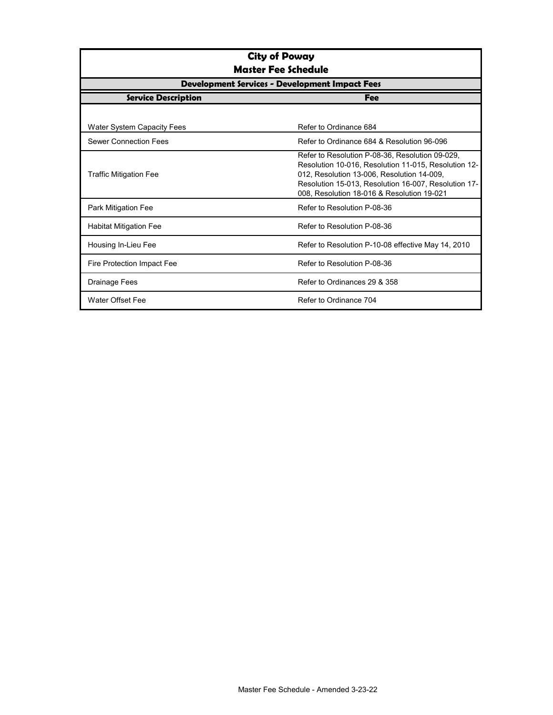| <b>City of Poway</b><br><b>Master Fee Schedule</b>    |                                                                                                                                                                                                                                                             |  |  |  |
|-------------------------------------------------------|-------------------------------------------------------------------------------------------------------------------------------------------------------------------------------------------------------------------------------------------------------------|--|--|--|
| <b>Development Services - Development Impact Fees</b> |                                                                                                                                                                                                                                                             |  |  |  |
| <b>Service Description</b>                            | <b>Fee</b>                                                                                                                                                                                                                                                  |  |  |  |
|                                                       |                                                                                                                                                                                                                                                             |  |  |  |
| <b>Water System Capacity Fees</b>                     | Refer to Ordinance 684                                                                                                                                                                                                                                      |  |  |  |
| <b>Sewer Connection Fees</b>                          | Refer to Ordinance 684 & Resolution 96-096                                                                                                                                                                                                                  |  |  |  |
| <b>Traffic Mitigation Fee</b>                         | Refer to Resolution P-08-36, Resolution 09-029,<br>Resolution 10-016, Resolution 11-015, Resolution 12-<br>012, Resolution 13-006, Resolution 14-009,<br>Resolution 15-013, Resolution 16-007, Resolution 17-<br>008, Resolution 18-016 & Resolution 19-021 |  |  |  |
| Park Mitigation Fee                                   | Refer to Resolution P-08-36                                                                                                                                                                                                                                 |  |  |  |
| <b>Habitat Mitigation Fee</b>                         | Refer to Resolution P-08-36                                                                                                                                                                                                                                 |  |  |  |
| Housing In-Lieu Fee                                   | Refer to Resolution P-10-08 effective May 14, 2010                                                                                                                                                                                                          |  |  |  |
| Fire Protection Impact Fee                            | Refer to Resolution P-08-36                                                                                                                                                                                                                                 |  |  |  |
| <b>Drainage Fees</b>                                  | Refer to Ordinances 29 & 358                                                                                                                                                                                                                                |  |  |  |
| Water Offset Fee                                      | Refer to Ordinance 704                                                                                                                                                                                                                                      |  |  |  |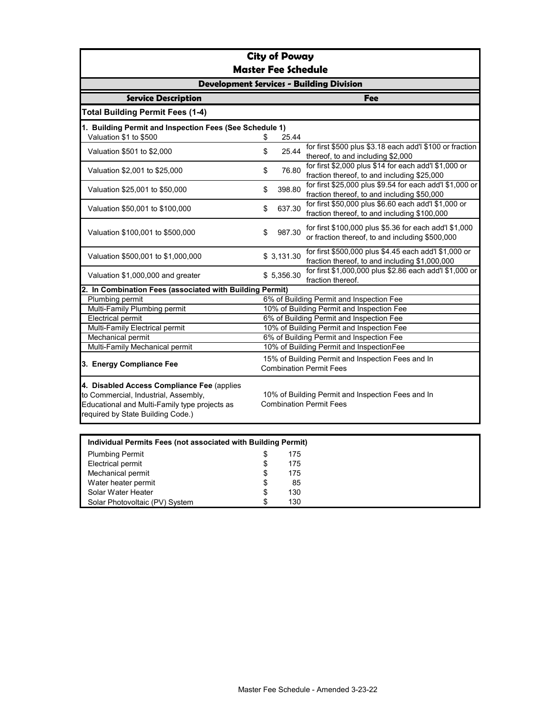| <b>City of Poway</b><br><b>Master Fee Schedule</b>                                                                                                                       |                                                                                     |            |                                                                                                           |
|--------------------------------------------------------------------------------------------------------------------------------------------------------------------------|-------------------------------------------------------------------------------------|------------|-----------------------------------------------------------------------------------------------------------|
|                                                                                                                                                                          |                                                                                     |            | <b>Development Services - Building Division</b>                                                           |
| <b>Service Description</b>                                                                                                                                               |                                                                                     |            | <b>Fee</b>                                                                                                |
| <b>Total Building Permit Fees (1-4)</b>                                                                                                                                  |                                                                                     |            |                                                                                                           |
| 1. Building Permit and Inspection Fees (See Schedule 1)<br>Valuation \$1 to \$500                                                                                        | S                                                                                   | 25.44      |                                                                                                           |
| Valuation \$501 to \$2,000                                                                                                                                               | \$                                                                                  | 25.44      | for first \$500 plus \$3.18 each add'l \$100 or fraction<br>thereof, to and including \$2,000             |
| Valuation \$2,001 to \$25,000                                                                                                                                            | \$                                                                                  | 76.80      | for first \$2,000 plus \$14 for each add'l \$1,000 or<br>fraction thereof, to and including \$25,000      |
| Valuation \$25,001 to \$50,000                                                                                                                                           | \$                                                                                  | 398.80     | for first \$25,000 plus \$9.54 for each add'l \$1,000 or<br>fraction thereof, to and including \$50,000   |
| Valuation \$50,001 to \$100,000                                                                                                                                          | \$                                                                                  | 637.30     | for first \$50,000 plus \$6.60 each add'l \$1,000 or<br>fraction thereof, to and including \$100,000      |
| Valuation \$100,001 to \$500,000                                                                                                                                         | \$                                                                                  | 987.30     | for first \$100,000 plus \$5.36 for each add'l \$1,000<br>or fraction thereof, to and including \$500,000 |
| Valuation \$500,001 to \$1,000,000                                                                                                                                       |                                                                                     | \$3,131.30 | for first \$500,000 plus \$4.45 each add'l \$1,000 or<br>fraction thereof, to and including \$1,000,000   |
| Valuation \$1,000,000 and greater                                                                                                                                        |                                                                                     | \$5,356.30 | for first \$1,000,000 plus \$2.86 each add'l \$1,000 or<br>fraction thereof.                              |
| 2. In Combination Fees (associated with Building Permit)                                                                                                                 |                                                                                     |            |                                                                                                           |
| Plumbing permit                                                                                                                                                          |                                                                                     |            | 6% of Building Permit and Inspection Fee                                                                  |
| Multi-Family Plumbing permit                                                                                                                                             |                                                                                     |            | 10% of Building Permit and Inspection Fee                                                                 |
| <b>Electrical permit</b>                                                                                                                                                 |                                                                                     |            | 6% of Building Permit and Inspection Fee                                                                  |
| Multi-Family Electrical permit                                                                                                                                           |                                                                                     |            | 10% of Building Permit and Inspection Fee                                                                 |
| Mechanical permit                                                                                                                                                        |                                                                                     |            | 6% of Building Permit and Inspection Fee                                                                  |
| Multi-Family Mechanical permit                                                                                                                                           |                                                                                     |            | 10% of Building Permit and InspectionFee                                                                  |
| 3. Energy Compliance Fee                                                                                                                                                 |                                                                                     |            | 15% of Building Permit and Inspection Fees and In<br><b>Combination Permit Fees</b>                       |
| 4. Disabled Access Compliance Fee (applies<br>to Commercial, Industrial, Assembly,<br>Educational and Multi-Family type projects as<br>required by State Building Code.) | 10% of Building Permit and Inspection Fees and In<br><b>Combination Permit Fees</b> |            |                                                                                                           |
|                                                                                                                                                                          |                                                                                     |            |                                                                                                           |
| Individual Permits Fees (not associated with Building Permit)<br><b>Plumbing Permit</b>                                                                                  | \$                                                                                  | 175        |                                                                                                           |

| <b>Plumbing Permit</b>         |   | 175 |
|--------------------------------|---|-----|
| <b>Electrical permit</b>       | S | 175 |
| Mechanical permit              | S | 175 |
| Water heater permit            | S | 85  |
| Solar Water Heater             | S | 130 |
| Solar Photovoltaic (PV) System |   | 130 |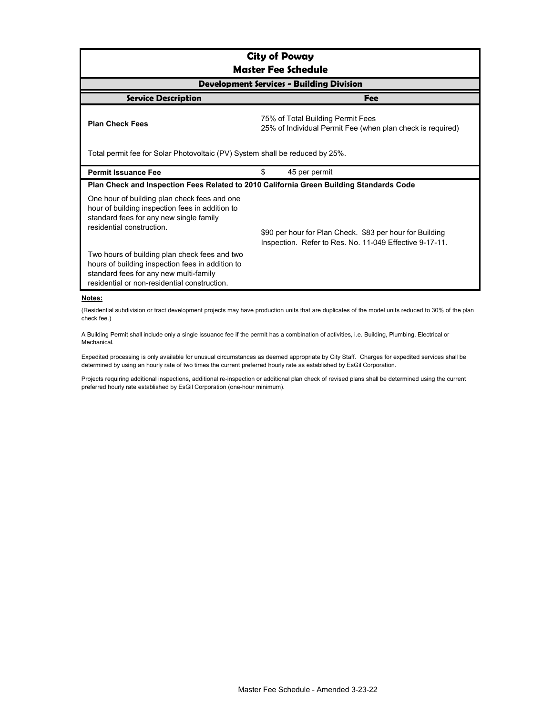| <b>City of Poway</b><br><b>Master Fee Schedule</b>                                                                                                                                                                                                                                             |    |                                                                                                 |  |
|------------------------------------------------------------------------------------------------------------------------------------------------------------------------------------------------------------------------------------------------------------------------------------------------|----|-------------------------------------------------------------------------------------------------|--|
| <b>Development Services - Building Division</b>                                                                                                                                                                                                                                                |    |                                                                                                 |  |
| <b>Service Description</b><br><b>Fee</b>                                                                                                                                                                                                                                                       |    |                                                                                                 |  |
| <b>Plan Check Fees</b>                                                                                                                                                                                                                                                                         |    | 75% of Total Building Permit Fees<br>25% of Individual Permit Fee (when plan check is required) |  |
| Total permit fee for Solar Photovoltaic (PV) System shall be reduced by 25%.                                                                                                                                                                                                                   |    |                                                                                                 |  |
| <b>Permit Issuance Fee</b>                                                                                                                                                                                                                                                                     | \$ | 45 per permit                                                                                   |  |
| Plan Check and Inspection Fees Related to 2010 California Green Building Standards Code                                                                                                                                                                                                        |    |                                                                                                 |  |
| One hour of building plan check fees and one<br>hour of building inspection fees in addition to<br>standard fees for any new single family<br>residential construction.<br>\$90 per hour for Plan Check. \$83 per hour for Building<br>Inspection. Refer to Res. No. 11-049 Effective 9-17-11. |    |                                                                                                 |  |
| Two hours of building plan check fees and two<br>hours of building inspection fees in addition to<br>standard fees for any new multi-family<br>residential or non-residential construction.                                                                                                    |    |                                                                                                 |  |

## **Notes:**

(Residential subdivision or tract development projects may have production units that are duplicates of the model units reduced to 30% of the plan check fee.)

A Building Permit shall include only a single issuance fee if the permit has a combination of activities, i.e. Building, Plumbing, Electrical or Mechanical.

Expedited processing is only available for unusual circumstances as deemed appropriate by City Staff. Charges for expedited services shall be determined by using an hourly rate of two times the current preferred hourly rate as established by EsGil Corporation.

Projects requiring additional inspections, additional re-inspection or additional plan check of revised plans shall be determined using the current preferred hourly rate established by EsGil Corporation (one-hour minimum).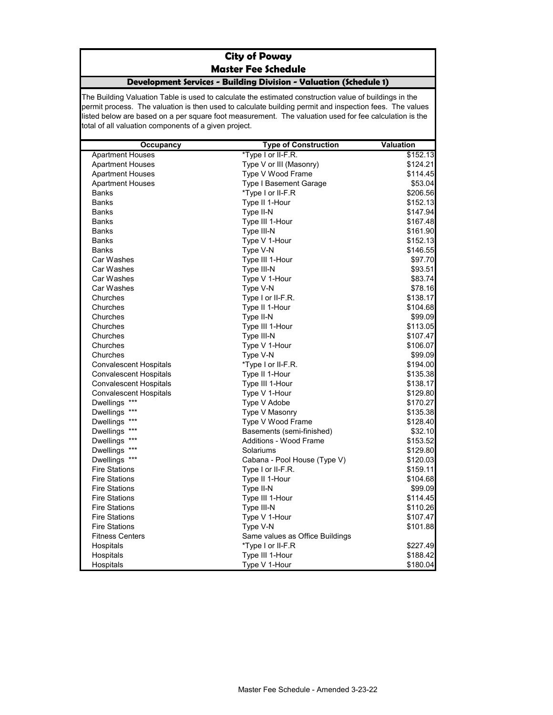## **City of Poway Master Fee Schedule**

## **Development Services - Building Division - Valuation (Schedule 1)**

| Occupancy                     | <b>Type of Construction</b>     | <b>Valuation</b> |
|-------------------------------|---------------------------------|------------------|
| <b>Apartment Houses</b>       | *Type I or II-F.R.              | \$152.13         |
| <b>Apartment Houses</b>       | Type V or III (Masonry)         | \$124.21         |
| <b>Apartment Houses</b>       | Type V Wood Frame               | \$114.45         |
| <b>Apartment Houses</b>       | Type I Basement Garage          | \$53.04          |
| <b>Banks</b>                  | *Type I or II-F.R               | \$206.56         |
| Banks                         | Type II 1-Hour                  | \$152.13         |
| Banks                         | Type II-N                       | \$147.94         |
| <b>Banks</b>                  | Type III 1-Hour                 | \$167.48         |
| <b>Banks</b>                  | Type III-N                      | \$161.90         |
| <b>Banks</b>                  | Type V 1-Hour                   | \$152.13         |
| <b>Banks</b>                  | Type V-N                        | \$146.55         |
| Car Washes                    | Type III 1-Hour                 | \$97.70          |
| Car Washes                    | Type III-N                      | \$93.51          |
| Car Washes                    | Type V 1-Hour                   | \$83.74          |
| Car Washes                    | Type V-N                        | \$78.16          |
| Churches                      | Type I or II-F.R.               | \$138.17         |
| Churches                      | Type II 1-Hour                  | \$104.68         |
| Churches                      | Type II-N                       | \$99.09          |
| Churches                      | Type III 1-Hour                 | \$113.05         |
| Churches                      | Type III-N                      | \$107.47         |
| Churches                      | Type V 1-Hour                   | \$106.07         |
| Churches                      | Type V-N                        | \$99.09          |
| <b>Convalescent Hospitals</b> | *Type I or II-F.R.              | \$194.00         |
| <b>Convalescent Hospitals</b> | Type II 1-Hour                  | \$135.38         |
| <b>Convalescent Hospitals</b> | Type III 1-Hour                 | \$138.17         |
| <b>Convalescent Hospitals</b> | Type V 1-Hour                   | \$129.80         |
| Dwellings ***                 | Type V Adobe                    | \$170.27         |
| $***$<br><b>Dwellings</b>     | Type V Masonry                  | \$135.38         |
| $***$<br><b>Dwellings</b>     | Type V Wood Frame               | \$128.40         |
| $***$<br><b>Dwellings</b>     | Basements (semi-finished)       | \$32.10          |
| $***$<br><b>Dwellings</b>     | <b>Additions - Wood Frame</b>   | \$153.52         |
| $***$<br>Dwellings            | Solariums                       | \$129.80         |
| Dwellings ***                 | Cabana - Pool House (Type V)    | \$120.03         |
| <b>Fire Stations</b>          | Type I or II-F.R.               | \$159.11         |
| <b>Fire Stations</b>          | Type II 1-Hour                  | \$104.68         |
| <b>Fire Stations</b>          | Type II-N                       | \$99.09          |
| <b>Fire Stations</b>          | Type III 1-Hour                 | \$114.45         |
| <b>Fire Stations</b>          | Type III-N                      | \$110.26         |
| <b>Fire Stations</b>          | Type V 1-Hour                   | \$107.47         |
| <b>Fire Stations</b>          | Type V-N                        | \$101.88         |
| <b>Fitness Centers</b>        | Same values as Office Buildings |                  |
| Hospitals                     | *Type I or II-F.R               | \$227.49         |
| Hospitals                     | Type III 1-Hour                 | \$188.42         |
| Hospitals                     | Type V 1-Hour                   | \$180.04         |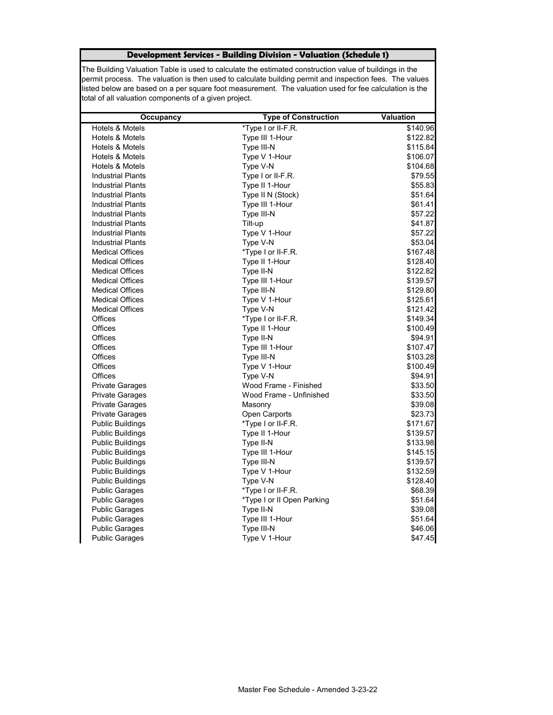| <b>Occupancy</b>         | <b>Type of Construction</b> | <b>Valuation</b> |
|--------------------------|-----------------------------|------------------|
| Hotels & Motels          | *Type I or II-F.R.          | \$140.96         |
| Hotels & Motels          | Type III 1-Hour             | \$122.82         |
| Hotels & Motels          | Type III-N                  | \$115.84         |
| Hotels & Motels          | Type V 1-Hour               | \$106.07         |
| Hotels & Motels          | Type V-N                    | \$104.68         |
| <b>Industrial Plants</b> | Type I or II-F.R.           | \$79.55          |
| <b>Industrial Plants</b> | Type II 1-Hour              | \$55.83          |
| <b>Industrial Plants</b> | Type II N (Stock)           | \$51.64          |
| <b>Industrial Plants</b> | Type III 1-Hour             | \$61.41          |
| <b>Industrial Plants</b> | Type III-N                  | \$57.22          |
| <b>Industrial Plants</b> | Tilt-up                     | \$41.87          |
| <b>Industrial Plants</b> | Type V 1-Hour               | \$57.22          |
| <b>Industrial Plants</b> | Type V-N                    | \$53.04          |
| <b>Medical Offices</b>   | *Type I or II-F.R.          | \$167.48         |
| <b>Medical Offices</b>   | Type II 1-Hour              | \$128.40         |
| <b>Medical Offices</b>   | Type II-N                   | \$122.82         |
| <b>Medical Offices</b>   | Type III 1-Hour             | \$139.57         |
| <b>Medical Offices</b>   | Type III-N                  | \$129.80         |
| <b>Medical Offices</b>   | Type V 1-Hour               | \$125.61         |
| <b>Medical Offices</b>   | Type V-N                    | \$121.42         |
| <b>Offices</b>           | *Type I or II-F.R.          | \$149.34         |
| Offices                  | Type II 1-Hour              | \$100.49         |
| Offices                  | Type II-N                   | \$94.91          |
| <b>Offices</b>           | Type III 1-Hour             | \$107.47         |
| Offices                  | Type III-N                  | \$103.28         |
| Offices                  | Type V 1-Hour               | \$100.49         |
| <b>Offices</b>           | Type V-N                    | \$94.91          |
| <b>Private Garages</b>   | Wood Frame - Finished       | \$33.50          |
| <b>Private Garages</b>   | Wood Frame - Unfinished     | \$33.50          |
| <b>Private Garages</b>   | Masonry                     | \$39.08          |
| <b>Private Garages</b>   | Open Carports               | \$23.73          |
| <b>Public Buildings</b>  | *Type I or II-F.R.          | \$171.67         |
| <b>Public Buildings</b>  | Type II 1-Hour              | \$139.57         |
| <b>Public Buildings</b>  | Type II-N                   | \$133.98         |
| <b>Public Buildings</b>  | Type III 1-Hour             | \$145.15         |
| <b>Public Buildings</b>  | Type III-N                  | \$139.57         |
| <b>Public Buildings</b>  | Type V 1-Hour               | \$132.59         |
| <b>Public Buildings</b>  | Type V-N                    | \$128.40         |
| <b>Public Garages</b>    | *Type I or II-F.R.          | \$68.39          |
| <b>Public Garages</b>    | *Type I or II Open Parking  | \$51.64          |
| <b>Public Garages</b>    | Type II-N                   | \$39.08          |
| <b>Public Garages</b>    | Type III 1-Hour             | \$51.64          |
| <b>Public Garages</b>    | Type III-N                  | \$46.06          |
| <b>Public Garages</b>    | Type V 1-Hour               | \$47.45          |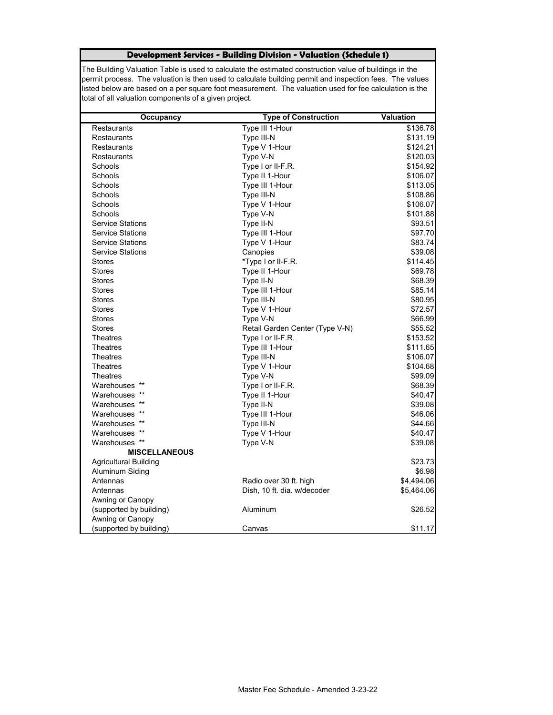| Occupancy                    | <b>Type of Construction</b>     | <b>Valuation</b> |
|------------------------------|---------------------------------|------------------|
| <b>Restaurants</b>           | Type III 1-Hour                 | \$136.78         |
| Restaurants                  | Type III-N                      | \$131.19         |
| Restaurants                  | Type V 1-Hour                   | \$124.21         |
| <b>Restaurants</b>           | Type V-N                        | \$120.03         |
| Schools                      | Type I or II-F.R.               | \$154.92         |
| Schools                      | Type II 1-Hour                  | \$106.07         |
| Schools                      | Type III 1-Hour                 | \$113.05         |
| Schools                      | Type III-N                      | \$108.86         |
| Schools                      | Type V 1-Hour                   | \$106.07         |
| Schools                      | Type V-N                        | \$101.88         |
| <b>Service Stations</b>      | Type II-N                       | \$93.51          |
| <b>Service Stations</b>      | Type III 1-Hour                 | \$97.70          |
| <b>Service Stations</b>      | Type V 1-Hour                   | \$83.74          |
| <b>Service Stations</b>      | Canopies                        | \$39.08          |
| <b>Stores</b>                | *Type I or II-F.R.              | \$114.45         |
| <b>Stores</b>                | Type II 1-Hour                  | \$69.78          |
| <b>Stores</b>                | Type II-N                       | \$68.39          |
| <b>Stores</b>                | Type III 1-Hour                 | \$85.14          |
| <b>Stores</b>                | Type III-N                      | \$80.95          |
| <b>Stores</b>                | Type V 1-Hour                   | \$72.57          |
| <b>Stores</b>                | Type V-N                        | \$66.99          |
| <b>Stores</b>                | Retail Garden Center (Type V-N) | \$55.52          |
| <b>Theatres</b>              | Type I or II-F.R.               | \$153.52         |
| <b>Theatres</b>              | Type III 1-Hour                 | \$111.65         |
| <b>Theatres</b>              | Type III-N                      | \$106.07         |
| <b>Theatres</b>              | Type V 1-Hour                   | \$104.68         |
| <b>Theatres</b>              | Type V-N                        | \$99.09          |
| Warehouses                   | Type I or II-F.R.               | \$68.39          |
| Warehouses                   | Type II 1-Hour                  | \$40.47          |
| $***$<br>Warehouses          | Type II-N                       | \$39.08          |
| $***$<br>Warehouses          | Type III 1-Hour                 | \$46.06          |
| $***$<br>Warehouses          | Type III-N                      | \$44.66          |
| Warehouses                   | Type V 1-Hour                   | \$40.47          |
| Warehouses                   | Type V-N                        | \$39.08          |
| <b>MISCELLANEOUS</b>         |                                 |                  |
| <b>Agricultural Building</b> |                                 | \$23.73          |
| Aluminum Siding              |                                 | \$6.98           |
| Antennas                     | Radio over 30 ft. high          | \$4,494.06       |
| Antennas                     | Dish, 10 ft. dia. w/decoder     | \$5,464.06       |
| Awning or Canopy             |                                 |                  |
| (supported by building)      | Aluminum                        | \$26.52          |
| Awning or Canopy             |                                 |                  |
| (supported by building)      | Canvas                          | \$11.17          |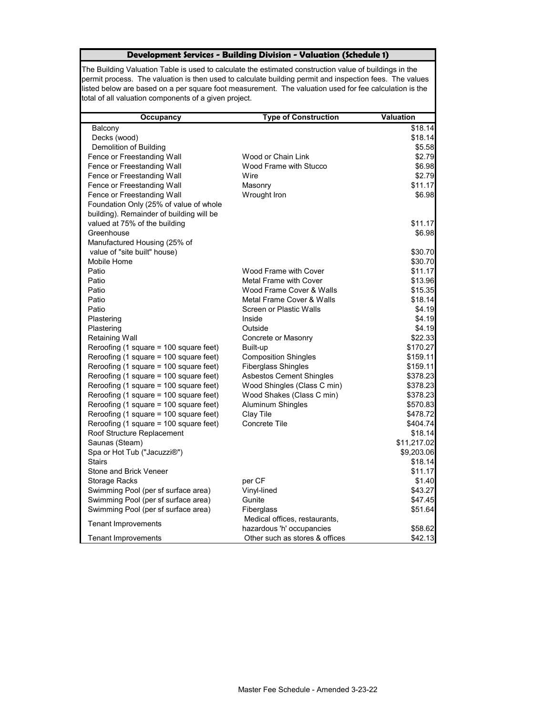| Occupancy                                | <b>Type of Construction</b>     | <b>Valuation</b> |
|------------------------------------------|---------------------------------|------------------|
| Balcony                                  |                                 | \$18.14          |
| Decks (wood)                             |                                 | \$18.14          |
| Demolition of Building                   |                                 | \$5.58           |
| Fence or Freestanding Wall               | Wood or Chain Link              | \$2.79           |
| Fence or Freestanding Wall               | Wood Frame with Stucco          | \$6.98           |
| Fence or Freestanding Wall               | Wire                            | \$2.79           |
| Fence or Freestanding Wall               | Masonry                         | \$11.17          |
| Fence or Freestanding Wall               | Wrought Iron                    | \$6.98           |
| Foundation Only (25% of value of whole   |                                 |                  |
| building). Remainder of building will be |                                 |                  |
| valued at 75% of the building            |                                 | \$11.17          |
| Greenhouse                               |                                 | \$6.98           |
| Manufactured Housing (25% of             |                                 |                  |
| value of "site built" house)             |                                 | \$30.70          |
| Mobile Home                              |                                 | \$30.70          |
| Patio                                    | Wood Frame with Cover           | \$11.17          |
| Patio                                    | Metal Frame with Cover          | \$13.96          |
| Patio                                    | Wood Frame Cover & Walls        | \$15.35          |
| Patio                                    | Metal Frame Cover & Walls       | \$18.14          |
| Patio                                    | <b>Screen or Plastic Walls</b>  | \$4.19           |
| Plastering                               | Inside                          | \$4.19           |
| Plastering                               | Outside                         | \$4.19           |
| <b>Retaining Wall</b>                    | Concrete or Masonry             | \$22.33          |
| Reroofing (1 square = 100 square feet)   | Built-up                        | \$170.27         |
| Reroofing (1 square = 100 square feet)   | <b>Composition Shingles</b>     | \$159.11         |
| Reroofing (1 square = 100 square feet)   | <b>Fiberglass Shingles</b>      | \$159.11         |
| Reroofing (1 square = 100 square feet)   | <b>Asbestos Cement Shingles</b> | \$378.23         |
| Reroofing (1 square = 100 square feet)   | Wood Shingles (Class C min)     | \$378.23         |
| Reroofing (1 square = 100 square feet)   | Wood Shakes (Class C min)       | \$378.23         |
| Reroofing (1 square = 100 square feet)   | <b>Aluminum Shingles</b>        | \$570.83         |
| Reroofing (1 square = 100 square feet)   | Clay Tile                       | \$478.72         |
| Reroofing (1 square = 100 square feet)   | <b>Concrete Tile</b>            | \$404.74         |
| Roof Structure Replacement               |                                 | \$18.14          |
| Saunas (Steam)                           |                                 | \$11,217.02      |
| Spa or Hot Tub ("Jacuzzi®")              |                                 | \$9,203.06       |
| <b>Stairs</b>                            |                                 | \$18.14          |
| Stone and Brick Veneer                   |                                 | \$11.17          |
| <b>Storage Racks</b>                     | per CF                          | \$1.40           |
| Swimming Pool (per sf surface area)      | Vinyl-lined                     | \$43.27          |
| Swimming Pool (per sf surface area)      | Gunite                          | \$47.45          |
| Swimming Pool (per sf surface area)      | Fiberglass                      | \$51.64          |
|                                          | Medical offices, restaurants,   |                  |
| <b>Tenant Improvements</b>               | hazardous 'h' occupancies       | \$58.62          |
| <b>Tenant Improvements</b>               | Other such as stores & offices  | \$42.13          |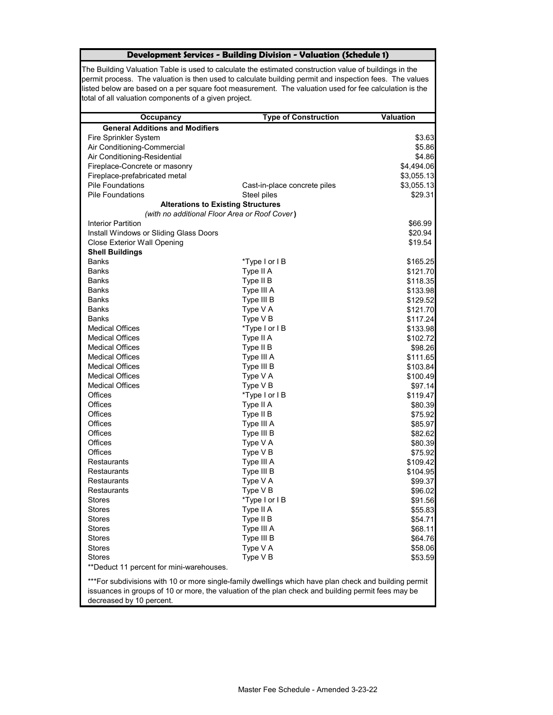| <b>Occupancy</b>                                                                                       | <b>Type of Construction</b>  | <b>Valuation</b> |
|--------------------------------------------------------------------------------------------------------|------------------------------|------------------|
| <b>General Additions and Modifiers</b>                                                                 |                              |                  |
| Fire Sprinkler System                                                                                  |                              | \$3.63           |
| Air Conditioning-Commercial                                                                            |                              | \$5.86           |
| Air Conditioning-Residential                                                                           |                              | \$4.86           |
| Fireplace-Concrete or masonry                                                                          |                              | \$4,494.06       |
| Fireplace-prefabricated metal                                                                          |                              | \$3,055.13       |
| <b>Pile Foundations</b>                                                                                | Cast-in-place concrete piles | \$3,055.13       |
| <b>Pile Foundations</b>                                                                                | Steel piles                  | \$29.31          |
| <b>Alterations to Existing Structures</b>                                                              |                              |                  |
| (with no additional Floor Area or Roof Cover)                                                          |                              |                  |
| <b>Interior Partition</b>                                                                              |                              | \$66.99          |
| Install Windows or Sliding Glass Doors                                                                 |                              | \$20.94          |
| <b>Close Exterior Wall Opening</b>                                                                     |                              | \$19.54          |
| <b>Shell Buildings</b>                                                                                 |                              |                  |
| <b>Banks</b>                                                                                           | *Type I or I B               | \$165.25         |
| <b>Banks</b>                                                                                           | Type II A                    | \$121.70         |
| <b>Banks</b>                                                                                           | Type II B                    | \$118.35         |
| <b>Banks</b>                                                                                           | Type III A                   | \$133.98         |
| <b>Banks</b>                                                                                           | Type III B                   | \$129.52         |
| <b>Banks</b>                                                                                           | Type V A                     | \$121.70         |
| <b>Banks</b>                                                                                           | Type V B                     | \$117.24         |
| <b>Medical Offices</b>                                                                                 | *Type I or I B               | \$133.98         |
| <b>Medical Offices</b>                                                                                 | Type II A                    | \$102.72         |
| <b>Medical Offices</b>                                                                                 | Type II B                    | \$98.26          |
| <b>Medical Offices</b>                                                                                 | Type III A                   | \$111.65         |
| <b>Medical Offices</b>                                                                                 | Type III B                   | \$103.84         |
| <b>Medical Offices</b>                                                                                 | Type V A                     | \$100.49         |
| <b>Medical Offices</b>                                                                                 | Type V B                     | \$97.14          |
| Offices                                                                                                | *Type I or I B               | \$119.47         |
| Offices                                                                                                | Type II A                    | \$80.39          |
| <b>Offices</b>                                                                                         | Type II B                    | \$75.92          |
| <b>Offices</b>                                                                                         | Type III A                   | \$85.97          |
| Offices                                                                                                | Type III B                   | \$82.62          |
| <b>Offices</b>                                                                                         | Type V A                     | \$80.39          |
| Offices                                                                                                | Type V B                     | \$75.92          |
| Restaurants                                                                                            | Type III A                   | \$109.42         |
| Restaurants                                                                                            | Type III B                   | \$104.95         |
| Restaurants                                                                                            | Type V A                     | \$99.37          |
| Restaurants                                                                                            | Type V B                     | \$96.02          |
| <b>Stores</b>                                                                                          | *Type I or I B               | \$91.56          |
| <b>Stores</b>                                                                                          | Type II A                    | \$55.83          |
| <b>Stores</b>                                                                                          | Type II B                    | \$54.71          |
| <b>Stores</b>                                                                                          | Type III A                   | \$68.11          |
| <b>Stores</b>                                                                                          | Type III B                   | \$64.76          |
| <b>Stores</b>                                                                                          | Type V A                     | \$58.06          |
| <b>Stores</b>                                                                                          | Type V B                     | \$53.59          |
| ** Deduct 11 percent for mini-warehouses.                                                              |                              |                  |
| *** For subdivisions with 10 or more single-family dwellings which have plan check and building permit |                              |                  |
| issuances in groups of 10 or more, the valuation of the plan check and building permit fees may be     |                              |                  |
| decreased by 10 percent.                                                                               |                              |                  |
|                                                                                                        |                              |                  |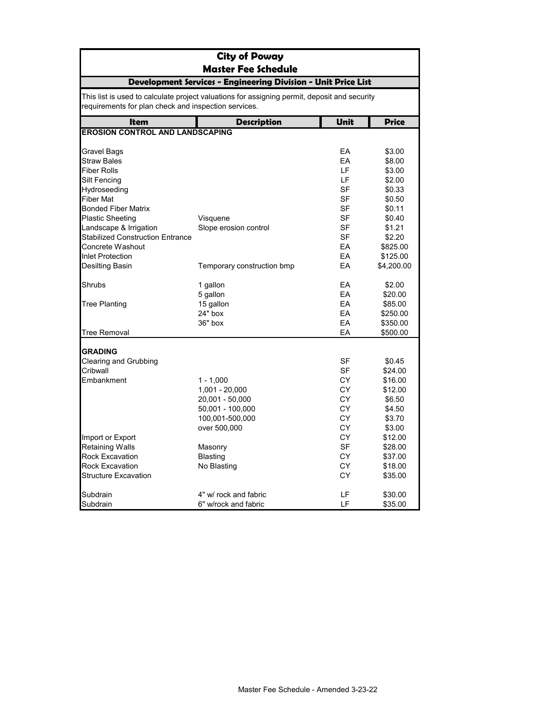| <b>City of Poway</b><br><b>Master Fee Schedule</b><br>Development Services - Engineering Division - Unit Price List                  |                                                                                            |                                                               |                                                      |  |                                                                                                                                                      |
|--------------------------------------------------------------------------------------------------------------------------------------|--------------------------------------------------------------------------------------------|---------------------------------------------------------------|------------------------------------------------------|--|------------------------------------------------------------------------------------------------------------------------------------------------------|
|                                                                                                                                      |                                                                                            |                                                               |                                                      |  | This list is used to calculate project valuations for assigning permit, deposit and security<br>requirements for plan check and inspection services. |
| <b>Item</b>                                                                                                                          | <b>Description</b>                                                                         | <b>Unit</b>                                                   | <b>Price</b>                                         |  |                                                                                                                                                      |
| <b>EROSION CONTROL AND LANDSCAPING</b>                                                                                               |                                                                                            |                                                               |                                                      |  |                                                                                                                                                      |
| <b>Gravel Bags</b><br><b>Straw Bales</b><br><b>Fiber Rolls</b><br><b>Silt Fencing</b>                                                |                                                                                            | EA<br>EA<br>LF<br>LF                                          | \$3.00<br>\$8.00<br>\$3.00<br>\$2.00                 |  |                                                                                                                                                      |
| Hydroseeding<br><b>Fiber Mat</b><br><b>Bonded Fiber Matrix</b>                                                                       |                                                                                            | <b>SF</b><br><b>SF</b><br><b>SF</b>                           | \$0.33<br>\$0.50<br>\$0.11                           |  |                                                                                                                                                      |
| <b>Plastic Sheeting</b><br>Landscape & Irrigation<br><b>Stabilized Construction Entrance</b><br>Concrete Washout<br>Inlet Protection | Visquene<br>Slope erosion control                                                          | <b>SF</b><br><b>SF</b><br><b>SF</b><br>EA<br>EA               | \$0.40<br>\$1.21<br>\$2.20<br>\$825.00<br>\$125.00   |  |                                                                                                                                                      |
| <b>Desilting Basin</b>                                                                                                               | Temporary construction bmp                                                                 | EA                                                            | \$4,200.00                                           |  |                                                                                                                                                      |
| Shrubs<br><b>Tree Planting</b>                                                                                                       | 1 gallon<br>5 gallon<br>15 gallon<br>$24"$ box<br>36" box                                  | EA<br>EA<br>EA<br>EA<br>EA                                    | \$2.00<br>\$20.00<br>\$85.00<br>\$250.00<br>\$350.00 |  |                                                                                                                                                      |
| <b>Tree Removal</b>                                                                                                                  |                                                                                            | EA                                                            | \$500.00                                             |  |                                                                                                                                                      |
| <b>GRADING</b><br><b>Clearing and Grubbing</b><br>Cribwall<br>Embankment                                                             | $1 - 1,000$                                                                                | <b>SF</b><br><b>SF</b><br>СY                                  | \$0.45<br>\$24.00<br>\$16.00                         |  |                                                                                                                                                      |
|                                                                                                                                      | $1,001 - 20,000$<br>20,001 - 50,000<br>50,001 - 100,000<br>100,001-500,000<br>over 500,000 | <b>CY</b><br><b>CY</b><br><b>CY</b><br>CY<br><b>CY</b>        | \$12.00<br>\$6.50<br>\$4.50<br>\$3.70<br>\$3.00      |  |                                                                                                                                                      |
| Import or Export<br><b>Retaining Walls</b><br><b>Rock Excavation</b><br><b>Rock Excavation</b><br><b>Structure Excavation</b>        | Masonry<br><b>Blasting</b><br>No Blasting                                                  | <b>CY</b><br><b>SF</b><br><b>CY</b><br><b>CY</b><br><b>CY</b> | \$12.00<br>\$28.00<br>\$37.00<br>\$18.00<br>\$35.00  |  |                                                                                                                                                      |
| Subdrain<br>Subdrain                                                                                                                 | 4" w/ rock and fabric<br>6" w/rock and fabric                                              | LF<br>LF                                                      | \$30.00<br>\$35.00                                   |  |                                                                                                                                                      |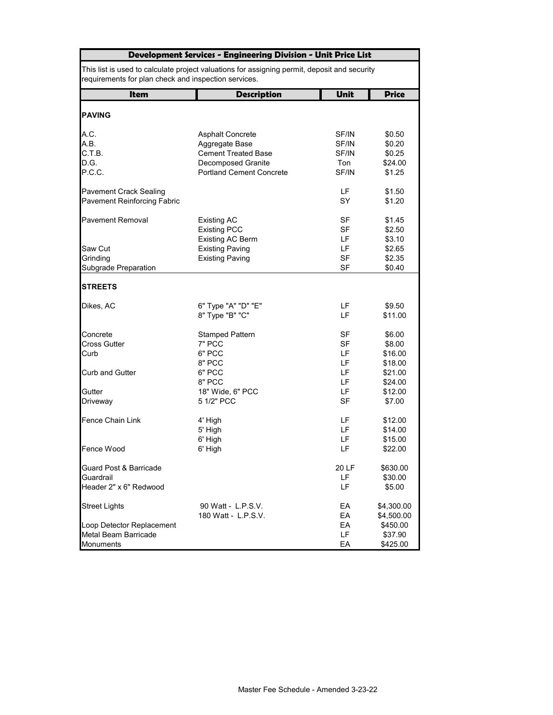| Development Services - Engineering Division - Unit Price List                                                                                        |                                        |           |                   |  |
|------------------------------------------------------------------------------------------------------------------------------------------------------|----------------------------------------|-----------|-------------------|--|
| This list is used to calculate project valuations for assigning permit, deposit and security<br>requirements for plan check and inspection services. |                                        |           |                   |  |
| <b>Item</b>                                                                                                                                          | <b>Description</b>                     | Unit      | <b>Price</b>      |  |
| <b>PAVING</b>                                                                                                                                        |                                        |           |                   |  |
| A.C.                                                                                                                                                 | <b>Asphalt Concrete</b>                | SF/IN     | \$0.50            |  |
| A.B.                                                                                                                                                 | Aggregate Base                         | SF/IN     | \$0.20            |  |
| C.T.B.                                                                                                                                               | <b>Cement Treated Base</b>             | SF/IN     | \$0.25            |  |
| D.G.                                                                                                                                                 | <b>Decomposed Granite</b>              | Ton       | \$24.00           |  |
| P.C.C.                                                                                                                                               | <b>Portland Cement Concrete</b>        | SF/IN     | \$1.25            |  |
| <b>Pavement Crack Sealing</b>                                                                                                                        |                                        | LF        | \$1.50            |  |
| <b>Pavement Reinforcing Fabric</b>                                                                                                                   |                                        | <b>SY</b> | \$1.20            |  |
| <b>Pavement Removal</b>                                                                                                                              | <b>Existing AC</b>                     | <b>SF</b> | \$1.45            |  |
|                                                                                                                                                      | <b>Existing PCC</b>                    | <b>SF</b> | \$2.50            |  |
|                                                                                                                                                      | <b>Existing AC Berm</b>                | LF        | \$3.10            |  |
| Saw Cut                                                                                                                                              | <b>Existing Paving</b>                 | LF        | \$2.65            |  |
| Grinding                                                                                                                                             | <b>Existing Paving</b>                 | <b>SF</b> | \$2.35            |  |
| <b>Subgrade Preparation</b>                                                                                                                          |                                        | <b>SF</b> | \$0.40            |  |
| <b>STREETS</b>                                                                                                                                       |                                        |           |                   |  |
| Dikes, AC                                                                                                                                            | 6" Type "A" "D" "E"<br>8" Type "B" "C" | LF<br>LF  | \$9.50<br>\$11.00 |  |
| Concrete                                                                                                                                             | <b>Stamped Pattern</b>                 | <b>SF</b> | \$6.00            |  |
| <b>Cross Gutter</b>                                                                                                                                  | 7" PCC                                 | <b>SF</b> | \$8.00            |  |
| Curb                                                                                                                                                 | 6" PCC                                 | LF        | \$16.00           |  |
|                                                                                                                                                      | 8" PCC                                 | LF        | \$18.00           |  |
| <b>Curb and Gutter</b>                                                                                                                               | 6" PCC                                 | LF        | \$21.00           |  |
|                                                                                                                                                      | 8" PCC                                 | LF        | \$24.00           |  |
| Gutter                                                                                                                                               | 18" Wide, 6" PCC                       | LF        | \$12.00           |  |
| Driveway                                                                                                                                             | 5 1/2" PCC                             | <b>SF</b> | \$7.00            |  |
| <b>Fence Chain Link</b>                                                                                                                              | 4' High                                | LF        | \$12.00           |  |
|                                                                                                                                                      | 5' High                                | LF        | \$14.00           |  |
|                                                                                                                                                      | 6' High                                | LF.       | \$15.00           |  |
| Fence Wood                                                                                                                                           | 6' High                                | LF        | \$22.00           |  |
| <b>Guard Post &amp; Barricade</b>                                                                                                                    |                                        | 20 LF     | \$630.00          |  |
| Guardrail                                                                                                                                            |                                        | LF.       | \$30.00           |  |
| Header 2" x 6" Redwood                                                                                                                               |                                        | LF        | \$5.00            |  |
| <b>Street Lights</b>                                                                                                                                 | 90 Watt - L.P.S.V.                     | EA        | \$4,300.00        |  |
|                                                                                                                                                      | 180 Watt - L.P.S.V.                    | EA        | \$4,500.00        |  |
| Loop Detector Replacement                                                                                                                            |                                        | EA        | \$450.00          |  |
| <b>Metal Beam Barricade</b>                                                                                                                          |                                        | <b>LF</b> | \$37.90           |  |
| Monuments                                                                                                                                            |                                        | EA        | \$425.00          |  |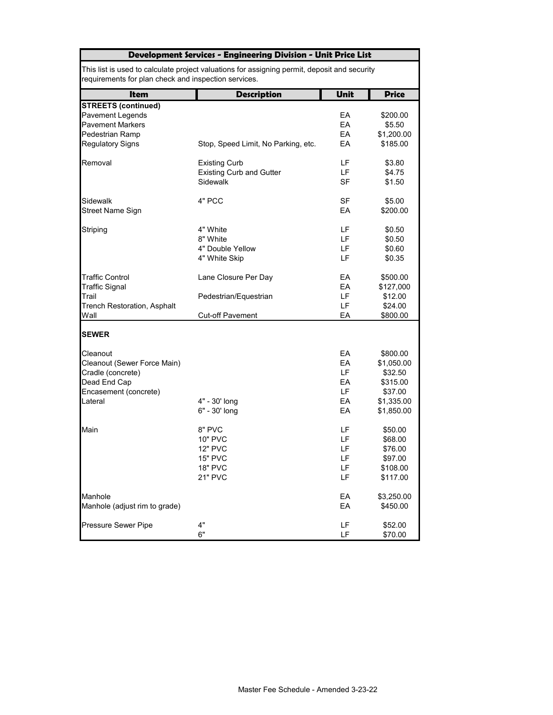| Development Services - Engineering Division - Unit Price List                                                                  |                                                                                                  |                                        |                                                                                      |
|--------------------------------------------------------------------------------------------------------------------------------|--------------------------------------------------------------------------------------------------|----------------------------------------|--------------------------------------------------------------------------------------|
| requirements for plan check and inspection services.                                                                           | This list is used to calculate project valuations for assigning permit, deposit and security     |                                        |                                                                                      |
| <b>Item</b>                                                                                                                    | <b>Description</b>                                                                               | <b>Unit</b>                            | <b>Price</b>                                                                         |
| <b>STREETS (continued)</b><br><b>Pavement Legends</b><br><b>Pavement Markers</b><br>Pedestrian Ramp<br><b>Regulatory Signs</b> | Stop, Speed Limit, No Parking, etc.                                                              | EA<br>EA<br>EA<br>EA                   | \$200.00<br>\$5.50<br>\$1,200.00<br>\$185.00                                         |
| Removal                                                                                                                        | <b>Existing Curb</b><br><b>Existing Curb and Gutter</b><br>Sidewalk                              | LF<br>LF.<br><b>SF</b>                 | \$3.80<br>\$4.75<br>\$1.50                                                           |
| Sidewalk<br><b>Street Name Sign</b>                                                                                            | 4" PCC                                                                                           | <b>SF</b><br>EA                        | \$5.00<br>\$200.00                                                                   |
| Striping                                                                                                                       | 4" White<br>8" White<br>4" Double Yellow<br>4" White Skip                                        | LF.<br>LF.<br>LF.<br>LF                | \$0.50<br>\$0.50<br>\$0.60<br>\$0.35                                                 |
| <b>Traffic Control</b><br><b>Traffic Signal</b><br>Trail<br><b>Trench Restoration, Asphalt</b><br>Wall                         | Lane Closure Per Day<br>Pedestrian/Equestrian<br><b>Cut-off Pavement</b>                         | EA<br>EA<br>LF.<br>LF<br>EA            | \$500.00<br>\$127,000<br>\$12.00<br>\$24.00<br>\$800.00                              |
| <b>SEWER</b>                                                                                                                   |                                                                                                  |                                        |                                                                                      |
| Cleanout<br>Cleanout (Sewer Force Main)<br>Cradle (concrete)<br>Dead End Cap<br>Encasement (concrete)<br>Lateral               | 4" - 30' long<br>6" - 30' long                                                                   | EA<br>EA<br>LF<br>EA<br>LF<br>EA<br>EA | \$800.00<br>\$1,050.00<br>\$32.50<br>\$315.00<br>\$37.00<br>\$1,335.00<br>\$1,850.00 |
| Main                                                                                                                           | 8" PVC<br><b>10" PVC</b><br><b>12" PVC</b><br><b>15" PVC</b><br><b>18" PVC</b><br><b>21" PVC</b> | LF<br>LF<br>LF<br>LF<br>LF<br>LF       | \$50.00<br>\$68.00<br>\$76.00<br>\$97.00<br>\$108.00<br>\$117.00                     |
| Manhole<br>Manhole (adjust rim to grade)                                                                                       |                                                                                                  | EA<br>EA                               | \$3,250.00<br>\$450.00                                                               |
| Pressure Sewer Pipe                                                                                                            | 4"<br>6"                                                                                         | LF<br>LF                               | \$52.00<br>\$70.00                                                                   |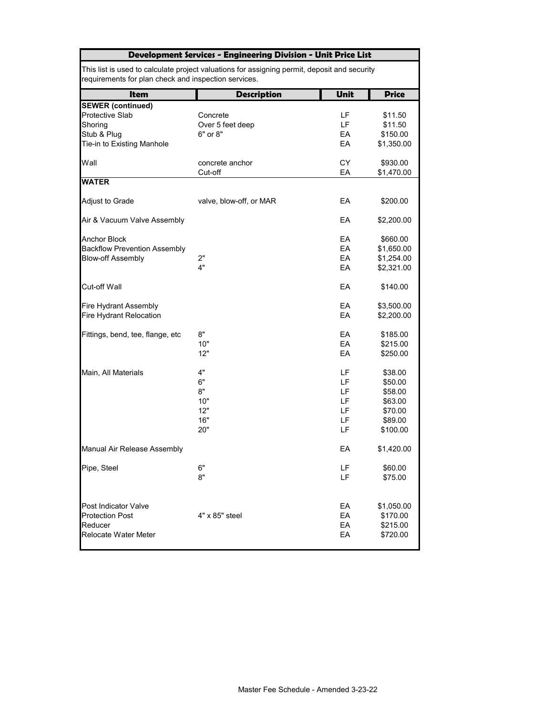| Development Services - Engineering Division - Unit Price List                                                                                        |                                            |                                        |                                                                            |  |
|------------------------------------------------------------------------------------------------------------------------------------------------------|--------------------------------------------|----------------------------------------|----------------------------------------------------------------------------|--|
| This list is used to calculate project valuations for assigning permit, deposit and security<br>requirements for plan check and inspection services. |                                            |                                        |                                                                            |  |
| <b>Item</b>                                                                                                                                          | <b>Description</b>                         | <b>Unit</b>                            | <b>Price</b>                                                               |  |
| <b>SEWER (continued)</b><br><b>Protective Slab</b><br>Shoring<br>Stub & Plug<br>Tie-in to Existing Manhole                                           | Concrete<br>Over 5 feet deep<br>6" or 8"   | LF<br>LF.<br>EA<br>EA                  | \$11.50<br>\$11.50<br>\$150.00<br>\$1,350.00                               |  |
| Wall                                                                                                                                                 | concrete anchor<br>Cut-off                 | <b>CY</b><br>EA                        | \$930.00<br>\$1,470.00                                                     |  |
| <b>WATER</b>                                                                                                                                         |                                            |                                        |                                                                            |  |
| Adjust to Grade                                                                                                                                      | valve, blow-off, or MAR                    | EA                                     | \$200.00                                                                   |  |
| Air & Vacuum Valve Assembly                                                                                                                          |                                            | EA                                     | \$2,200.00                                                                 |  |
| <b>Anchor Block</b><br><b>Backflow Prevention Assembly</b><br><b>Blow-off Assembly</b>                                                               | 2"<br>4"                                   | EA<br>EA<br>EA<br>EA                   | \$660.00<br>\$1,650.00<br>\$1,254.00<br>\$2,321.00                         |  |
| <b>Cut-off Wall</b>                                                                                                                                  |                                            | EA                                     | \$140.00                                                                   |  |
| <b>Fire Hydrant Assembly</b><br><b>Fire Hydrant Relocation</b>                                                                                       |                                            | EA<br>EA                               | \$3,500.00<br>\$2,200.00                                                   |  |
| Fittings, bend, tee, flange, etc                                                                                                                     | 8"<br>10"<br>12"                           | EA<br>EA<br>EA                         | \$185.00<br>\$215.00<br>\$250.00                                           |  |
| Main, All Materials                                                                                                                                  | 4"<br>6"<br>8"<br>10"<br>12"<br>16"<br>20" | LF<br>LF<br>LF<br>LF<br>LF<br>LF<br>LF | \$38.00<br>\$50.00<br>\$58.00<br>\$63.00<br>\$70.00<br>\$89.00<br>\$100.00 |  |
| Manual Air Release Assembly                                                                                                                          |                                            | EA                                     | \$1,420.00                                                                 |  |
| Pipe, Steel                                                                                                                                          | 6"<br>8"                                   | LF<br>LF                               | \$60.00<br>\$75.00                                                         |  |
| <b>Post Indicator Valve</b><br><b>Protection Post</b><br>Reducer<br><b>Relocate Water Meter</b>                                                      | 4" x 85" steel                             | EA<br>EA<br>EA<br>EA                   | \$1,050.00<br>\$170.00<br>\$215.00<br>\$720.00                             |  |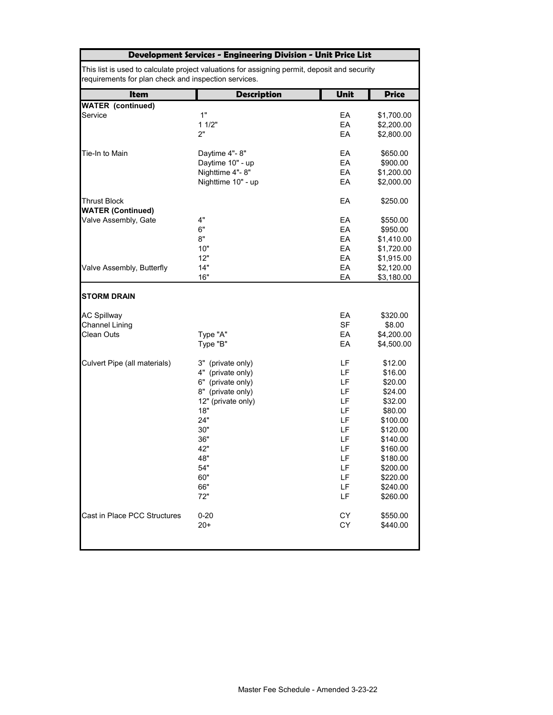| Development Services - Engineering Division - Unit Price List    |                                                                                                                                                                              |                                                                                        |                                                                                                                                                                            |
|------------------------------------------------------------------|------------------------------------------------------------------------------------------------------------------------------------------------------------------------------|----------------------------------------------------------------------------------------|----------------------------------------------------------------------------------------------------------------------------------------------------------------------------|
| requirements for plan check and inspection services.             | This list is used to calculate project valuations for assigning permit, deposit and security                                                                                 |                                                                                        |                                                                                                                                                                            |
| Item                                                             | <b>Description</b>                                                                                                                                                           | Unit                                                                                   | <b>Price</b>                                                                                                                                                               |
| <b>WATER (continued)</b><br>Service                              | 1"<br>11/2"<br>2"                                                                                                                                                            | EA<br>EA<br>EA                                                                         | \$1,700.00<br>\$2,200.00<br>\$2,800.00                                                                                                                                     |
| Tie-In to Main                                                   | Daytime 4"-8"<br>Daytime 10" - up<br>Nighttime 4"-8"<br>Nighttime 10" - up                                                                                                   | EA<br>EA<br>EA<br>EA                                                                   | \$650.00<br>\$900.00<br>\$1,200.00<br>\$2,000.00                                                                                                                           |
| <b>Thrust Block</b><br><b>WATER (Continued)</b>                  |                                                                                                                                                                              | EA                                                                                     | \$250.00                                                                                                                                                                   |
| Valve Assembly, Gate                                             | 4"<br>6"<br>8"<br>10"<br>12"                                                                                                                                                 | EA<br>EA<br>EA<br>EA<br>EA                                                             | \$550.00<br>\$950.00<br>\$1,410.00<br>\$1,720.00<br>\$1,915.00                                                                                                             |
| Valve Assembly, Butterfly                                        | 14"<br>16"                                                                                                                                                                   | EA<br>EA                                                                               | \$2,120.00<br>\$3,180.00                                                                                                                                                   |
| <b>STORM DRAIN</b>                                               |                                                                                                                                                                              |                                                                                        |                                                                                                                                                                            |
| <b>AC Spillway</b><br><b>Channel Lining</b><br><b>Clean Outs</b> | Type "A"                                                                                                                                                                     | EA<br><b>SF</b><br>EA                                                                  | \$320.00<br>\$8.00<br>\$4,200.00                                                                                                                                           |
|                                                                  | Type "B"                                                                                                                                                                     | EA                                                                                     | \$4,500.00                                                                                                                                                                 |
| Culvert Pipe (all materials)                                     | 3" (private only)<br>4" (private only)<br>6" (private only)<br>8" (private only)<br>12" (private only)<br>18"<br>24"<br>30"<br>36"<br>42"<br>48"<br>54"<br>60"<br>66"<br>72" | LF<br>LF<br>LF<br>LF<br>LF<br>LF<br>LF<br>LF<br>LF<br>LF<br>LF<br>LF<br>LF<br>LF<br>LF | \$12.00<br>\$16.00<br>\$20.00<br>\$24.00<br>\$32.00<br>\$80.00<br>\$100.00<br>\$120.00<br>\$140.00<br>\$160.00<br>\$180.00<br>\$200.00<br>\$220.00<br>\$240.00<br>\$260.00 |
| Cast in Place PCC Structures                                     | $0 - 20$<br>$20+$                                                                                                                                                            | CY<br>CY                                                                               | \$550.00<br>\$440.00                                                                                                                                                       |